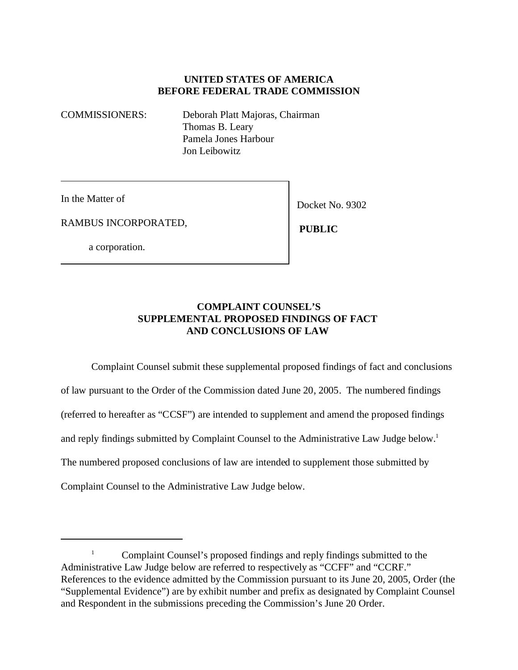### **UNITED STATES OF AMERICA BEFORE FEDERAL TRADE COMMISSION**

COMMISSIONERS: Deborah Platt Majoras, Chairman Thomas B. Leary Pamela Jones Harbour Jon Leibowitz

In the Matter of

RAMBUS INCORPORATED,

a corporation.

Docket No. 9302

 **PUBLIC**

#### **COMPLAINT COUNSEL'S SUPPLEMENTAL PROPOSED FINDINGS OF FACT AND CONCLUSIONS OF LAW**

Complaint Counsel submit these supplemental proposed findings of fact and conclusions of law pursuant to the Order of the Commission dated June 20, 2005. The numbered findings (referred to hereafter as "CCSF") are intended to supplement and amend the proposed findings and reply findings submitted by Complaint Counsel to the Administrative Law Judge below.<sup>1</sup> The numbered proposed conclusions of law are intended to supplement those submitted by Complaint Counsel to the Administrative Law Judge below.

<sup>&</sup>lt;sup>1</sup> Complaint Counsel's proposed findings and reply findings submitted to the Administrative Law Judge below are referred to respectively as "CCFF" and "CCRF." References to the evidence admitted by the Commission pursuant to its June 20, 2005, Order (the "Supplemental Evidence") are by exhibit number and prefix as designated by Complaint Counsel and Respondent in the submissions preceding the Commission's June 20 Order.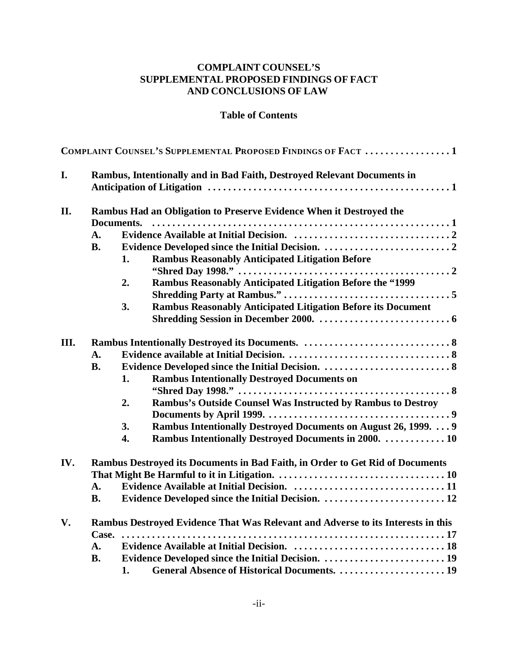# **COMPLAINT COUNSEL'S SUPPLEMENTAL PROPOSED FINDINGS OF FACT AND CONCLUSIONS OF LAW**

#### **Table of Contents**

| I.<br>Rambus, Intentionally and in Bad Faith, Destroyed Relevant Documents in<br>II.<br>Rambus Had an Obligation to Preserve Evidence When it Destroyed the<br>Documents.<br>$\mathbf{A}$ .<br><b>B.</b><br><b>Rambus Reasonably Anticipated Litigation Before</b><br>1. |  |  |
|--------------------------------------------------------------------------------------------------------------------------------------------------------------------------------------------------------------------------------------------------------------------------|--|--|
|                                                                                                                                                                                                                                                                          |  |  |
|                                                                                                                                                                                                                                                                          |  |  |
|                                                                                                                                                                                                                                                                          |  |  |
|                                                                                                                                                                                                                                                                          |  |  |
|                                                                                                                                                                                                                                                                          |  |  |
|                                                                                                                                                                                                                                                                          |  |  |
| <b>Rambus Reasonably Anticipated Litigation Before the "1999</b><br>2.                                                                                                                                                                                                   |  |  |
|                                                                                                                                                                                                                                                                          |  |  |
| <b>Rambus Reasonably Anticipated Litigation Before its Document</b><br>3.                                                                                                                                                                                                |  |  |
|                                                                                                                                                                                                                                                                          |  |  |
|                                                                                                                                                                                                                                                                          |  |  |
| III.<br>$\mathbf{A}$ .                                                                                                                                                                                                                                                   |  |  |
| <b>B.</b>                                                                                                                                                                                                                                                                |  |  |
| <b>Rambus Intentionally Destroyed Documents on</b><br>1.                                                                                                                                                                                                                 |  |  |
|                                                                                                                                                                                                                                                                          |  |  |
| Rambus's Outside Counsel Was Instructed by Rambus to Destroy<br>2.                                                                                                                                                                                                       |  |  |
|                                                                                                                                                                                                                                                                          |  |  |
|                                                                                                                                                                                                                                                                          |  |  |
| Rambus Intentionally Destroyed Documents on August 26, 1999.  9<br>3.                                                                                                                                                                                                    |  |  |
| Rambus Intentionally Destroyed Documents in 2000.  10<br>4.                                                                                                                                                                                                              |  |  |
| IV.<br>Rambus Destroyed its Documents in Bad Faith, in Order to Get Rid of Documents                                                                                                                                                                                     |  |  |
|                                                                                                                                                                                                                                                                          |  |  |
| $\mathbf{A}$ .                                                                                                                                                                                                                                                           |  |  |
| Evidence Developed since the Initial Decision.  12<br><b>B.</b>                                                                                                                                                                                                          |  |  |
| Rambus Destroyed Evidence That Was Relevant and Adverse to its Interests in this                                                                                                                                                                                         |  |  |
| V.                                                                                                                                                                                                                                                                       |  |  |
| $\mathbf{A}$ .                                                                                                                                                                                                                                                           |  |  |
| <b>B.</b>                                                                                                                                                                                                                                                                |  |  |
| 1.                                                                                                                                                                                                                                                                       |  |  |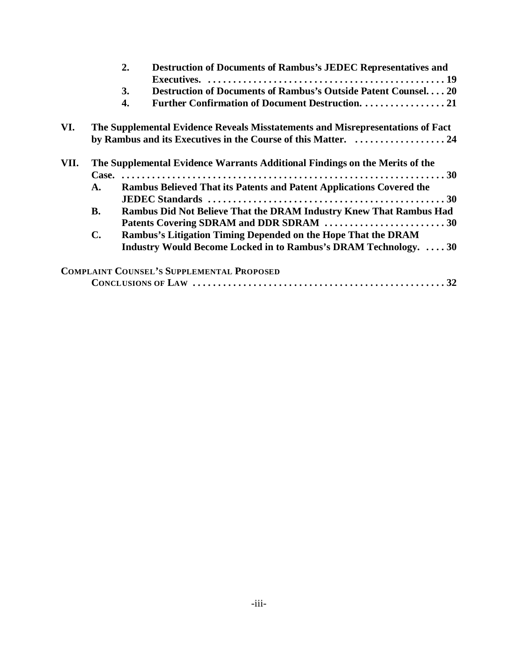|      |                | 2.<br><b>Destruction of Documents of Rambus's JEDEC Representatives and</b>    |
|------|----------------|--------------------------------------------------------------------------------|
|      |                | Destruction of Documents of Rambus's Outside Patent Counsel20<br>3.            |
|      |                | Further Confirmation of Document Destruction. 21<br>4.                         |
| VI.  |                | The Supplemental Evidence Reveals Misstatements and Misrepresentations of Fact |
|      |                |                                                                                |
| VII. |                | The Supplemental Evidence Warrants Additional Findings on the Merits of the    |
|      |                |                                                                                |
|      | A.             | Rambus Believed That its Patents and Patent Applications Covered the           |
|      |                |                                                                                |
|      | <b>B.</b>      | <b>Rambus Did Not Believe That the DRAM Industry Knew That Rambus Had</b>      |
|      |                | Patents Covering SDRAM and DDR SDRAM 30                                        |
|      | $\mathbf{C}$ . | Rambus's Litigation Timing Depended on the Hope That the DRAM                  |
|      |                | Industry Would Become Locked in to Rambus's DRAM Technology.  30               |
|      |                | <b>COMPLAINT COUNSEL'S SUPPLEMENTAL PROPOSED</b>                               |
|      |                |                                                                                |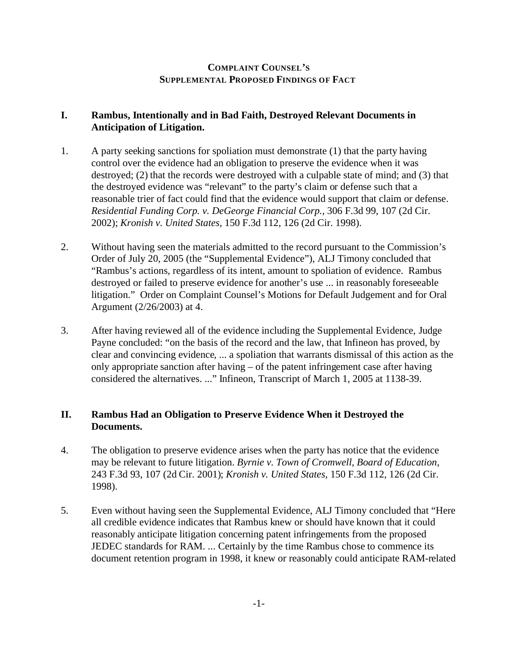### **COMPLAINT COUNSEL'S SUPPLEMENTAL PROPOSED FINDINGS OF FACT**

### **I. Rambus, Intentionally and in Bad Faith, Destroyed Relevant Documents in Anticipation of Litigation.**

- 1. A party seeking sanctions for spoliation must demonstrate (1) that the party having control over the evidence had an obligation to preserve the evidence when it was destroyed; (2) that the records were destroyed with a culpable state of mind; and (3) that the destroyed evidence was "relevant" to the party's claim or defense such that a reasonable trier of fact could find that the evidence would support that claim or defense. *Residential Funding Corp. v. DeGeorge Financial Corp.,* 306 F.3d 99, 107 (2d Cir. 2002); *Kronish v. United States,* 150 F.3d 112, 126 (2d Cir. 1998).
- 2. Without having seen the materials admitted to the record pursuant to the Commission's Order of July 20, 2005 (the "Supplemental Evidence"), ALJ Timony concluded that "Rambus's actions, regardless of its intent, amount to spoliation of evidence. Rambus destroyed or failed to preserve evidence for another's use ... in reasonably foreseeable litigation." Order on Complaint Counsel's Motions for Default Judgement and for Oral Argument (2/26/2003) at 4.
- 3. After having reviewed all of the evidence including the Supplemental Evidence, Judge Payne concluded: "on the basis of the record and the law, that Infineon has proved, by clear and convincing evidence, ... a spoliation that warrants dismissal of this action as the only appropriate sanction after having – of the patent infringement case after having considered the alternatives. ..." Infineon, Transcript of March 1, 2005 at 1138-39.

### **II. Rambus Had an Obligation to Preserve Evidence When it Destroyed the Documents.**

- 4. The obligation to preserve evidence arises when the party has notice that the evidence may be relevant to future litigation. *Byrnie v. Town of Cromwell, Board of Education,* 243 F.3d 93, 107 (2d Cir. 2001); *Kronish v. United States,* 150 F.3d 112, 126 (2d Cir. 1998).
- 5. Even without having seen the Supplemental Evidence, ALJ Timony concluded that "Here all credible evidence indicates that Rambus knew or should have known that it could reasonably anticipate litigation concerning patent infringements from the proposed JEDEC standards for RAM. ... Certainly by the time Rambus chose to commence its document retention program in 1998, it knew or reasonably could anticipate RAM-related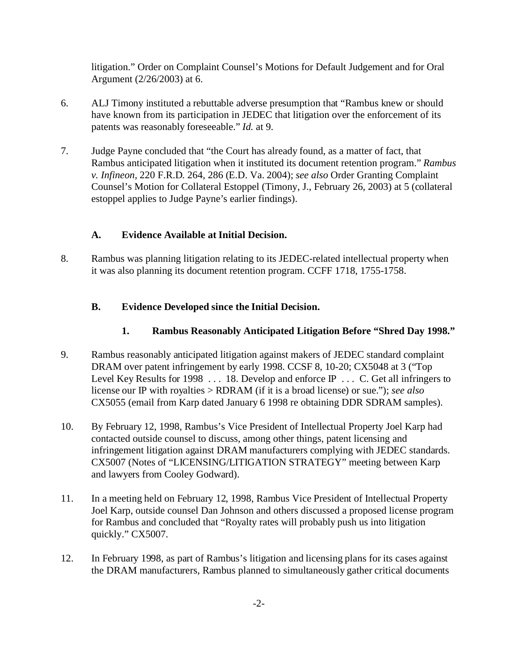litigation." Order on Complaint Counsel's Motions for Default Judgement and for Oral Argument (2/26/2003) at 6.

- 6. ALJ Timony instituted a rebuttable adverse presumption that "Rambus knew or should have known from its participation in JEDEC that litigation over the enforcement of its patents was reasonably foreseeable." *Id.* at 9.
- 7. Judge Payne concluded that "the Court has already found, as a matter of fact, that Rambus anticipated litigation when it instituted its document retention program." *Rambus v. Infineon,* 220 F.R.D. 264, 286 (E.D. Va. 2004); *see also* Order Granting Complaint Counsel's Motion for Collateral Estoppel (Timony, J., February 26, 2003) at 5 (collateral estoppel applies to Judge Payne's earlier findings).

# **A. Evidence Available at Initial Decision.**

8. Rambus was planning litigation relating to its JEDEC-related intellectual property when it was also planning its document retention program. CCFF 1718, 1755-1758.

# **B. Evidence Developed since the Initial Decision.**

# **1. Rambus Reasonably Anticipated Litigation Before "Shred Day 1998."**

- 9. Rambus reasonably anticipated litigation against makers of JEDEC standard complaint DRAM over patent infringement by early 1998. CCSF 8, 10-20; CX5048 at 3 ("Top Level Key Results for 1998 . . . 18. Develop and enforce  $\mathbb P$  . . . C. Get all infringers to license our IP with royalties > RDRAM (if it is a broad license) or sue."); *see also* CX5055 (email from Karp dated January 6 1998 re obtaining DDR SDRAM samples).
- 10. By February 12, 1998, Rambus's Vice President of Intellectual Property Joel Karp had contacted outside counsel to discuss, among other things, patent licensing and infringement litigation against DRAM manufacturers complying with JEDEC standards. CX5007 (Notes of "LICENSING/LITIGATION STRATEGY" meeting between Karp and lawyers from Cooley Godward).
- 11. In a meeting held on February 12, 1998, Rambus Vice President of Intellectual Property Joel Karp, outside counsel Dan Johnson and others discussed a proposed license program for Rambus and concluded that "Royalty rates will probably push us into litigation quickly." CX5007.
- 12. In February 1998, as part of Rambus's litigation and licensing plans for its cases against the DRAM manufacturers, Rambus planned to simultaneously gather critical documents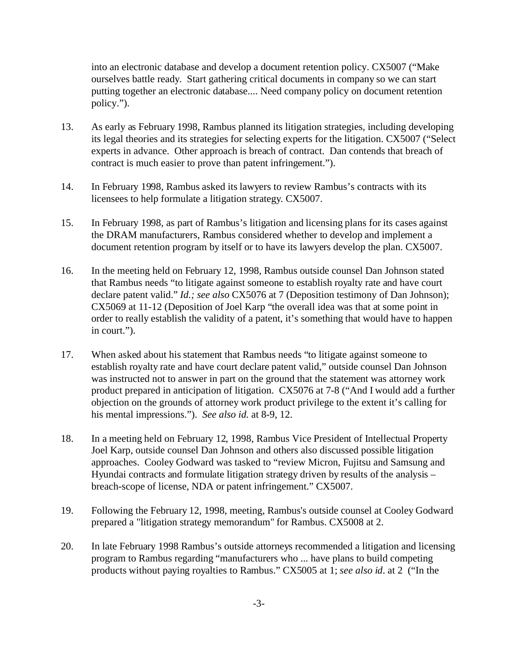into an electronic database and develop a document retention policy. CX5007 ("Make ourselves battle ready. Start gathering critical documents in company so we can start putting together an electronic database.... Need company policy on document retention policy.").

- 13. As early as February 1998, Rambus planned its litigation strategies, including developing its legal theories and its strategies for selecting experts for the litigation. CX5007 ("Select experts in advance. Other approach is breach of contract. Dan contends that breach of contract is much easier to prove than patent infringement.").
- 14. In February 1998, Rambus asked its lawyers to review Rambus's contracts with its licensees to help formulate a litigation strategy. CX5007.
- 15. In February 1998, as part of Rambus's litigation and licensing plans for its cases against the DRAM manufacturers, Rambus considered whether to develop and implement a document retention program by itself or to have its lawyers develop the plan. CX5007.
- 16. In the meeting held on February 12, 1998, Rambus outside counsel Dan Johnson stated that Rambus needs "to litigate against someone to establish royalty rate and have court declare patent valid." *Id.; see also* CX5076 at 7 (Deposition testimony of Dan Johnson); CX5069 at 11-12 (Deposition of Joel Karp "the overall idea was that at some point in order to really establish the validity of a patent, it's something that would have to happen in court.").
- 17. When asked about his statement that Rambus needs "to litigate against someone to establish royalty rate and have court declare patent valid," outside counsel Dan Johnson was instructed not to answer in part on the ground that the statement was attorney work product prepared in anticipation of litigation. CX5076 at 7-8 ("And I would add a further objection on the grounds of attorney work product privilege to the extent it's calling for his mental impressions."). *See also id.* at 8-9, 12.
- 18. In a meeting held on February 12, 1998, Rambus Vice President of Intellectual Property Joel Karp, outside counsel Dan Johnson and others also discussed possible litigation approaches. Cooley Godward was tasked to "review Micron, Fujitsu and Samsung and Hyundai contracts and formulate litigation strategy driven by results of the analysis – breach-scope of license, NDA or patent infringement." CX5007.
- 19. Following the February 12, 1998, meeting, Rambus's outside counsel at Cooley Godward prepared a "litigation strategy memorandum" for Rambus. CX5008 at 2.
- 20. In late February 1998 Rambus's outside attorneys recommended a litigation and licensing program to Rambus regarding "manufacturers who ... have plans to build competing products without paying royalties to Rambus." CX5005 at 1; *see also id*. at 2 ("In the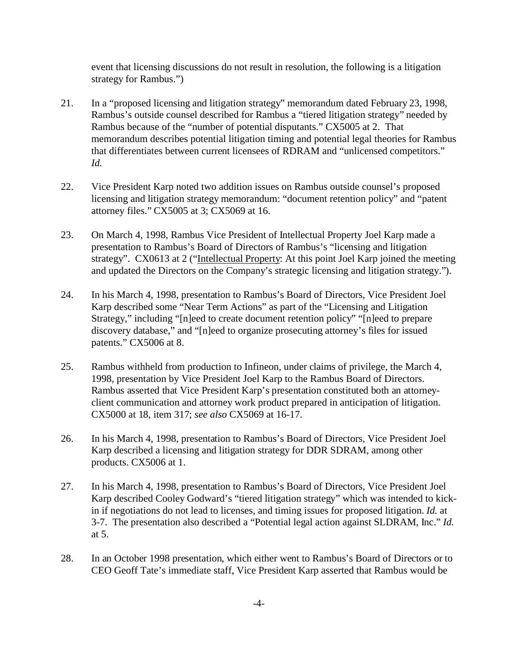event that licensing discussions do not result in resolution, the following is a litigation strategy for Rambus.")

- 21. In a "proposed licensing and litigation strategy" memorandum dated February 23, 1998, Rambus's outside counsel described for Rambus a "tiered litigation strategy" needed by Rambus because of the "number of potential disputants." CX5005 at 2. That memorandum describes potential litigation timing and potential legal theories for Rambus that differentiates between current licensees of RDRAM and "unlicensed competitors." *Id.*
- 22. Vice President Karp noted two addition issues on Rambus outside counsel's proposed licensing and litigation strategy memorandum: "document retention policy" and "patent attorney files." CX5005 at 3; CX5069 at 16.
- 23. On March 4, 1998, Rambus Vice President of Intellectual Property Joel Karp made a presentation to Rambus's Board of Directors of Rambus's "licensing and litigation strategy". CX0613 at 2 ("Intellectual Property: At this point Joel Karp joined the meeting and updated the Directors on the Company's strategic licensing and litigation strategy.").
- 24. In his March 4, 1998, presentation to Rambus's Board of Directors, Vice President Joel Karp described some "Near Term Actions" as part of the "Licensing and Litigation Strategy," including "[n]eed to create document retention policy" "[n]eed to prepare discovery database," and "[n]eed to organize prosecuting attorney's files for issued patents." CX5006 at 8.
- 25. Rambus withheld from production to Infineon, under claims of privilege, the March 4, 1998, presentation by Vice President Joel Karp to the Rambus Board of Directors. Rambus asserted that Vice President Karp's presentation constituted both an attorneyclient communication and attorney work product prepared in anticipation of litigation. CX5000 at 18, item 317; *see also* CX5069 at 16-17.
- 26. In his March 4, 1998, presentation to Rambus's Board of Directors, Vice President Joel Karp described a licensing and litigation strategy for DDR SDRAM, among other products. CX5006 at 1.
- 27. In his March 4, 1998, presentation to Rambus's Board of Directors, Vice President Joel Karp described Cooley Godward's "tiered litigation strategy" which was intended to kickin if negotiations do not lead to licenses, and timing issues for proposed litigation. *Id.* at 3-7. The presentation also described a "Potential legal action against SLDRAM, Inc." *Id.* at 5.
- 28. In an October 1998 presentation, which either went to Rambus's Board of Directors or to CEO Geoff Tate's immediate staff, Vice President Karp asserted that Rambus would be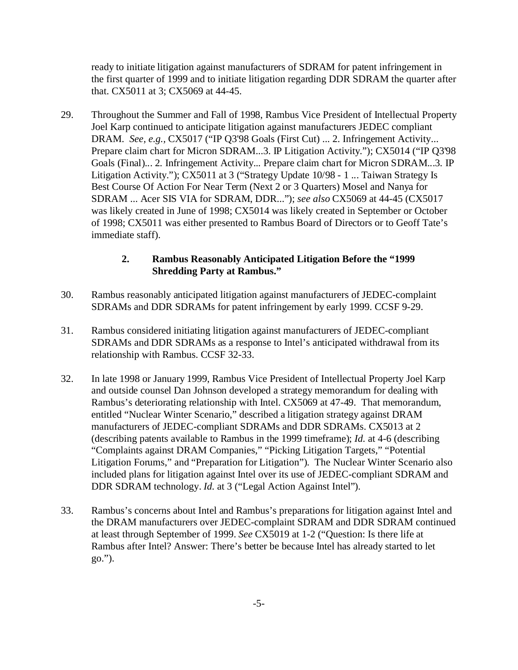ready to initiate litigation against manufacturers of SDRAM for patent infringement in the first quarter of 1999 and to initiate litigation regarding DDR SDRAM the quarter after that. CX5011 at 3; CX5069 at 44-45.

29. Throughout the Summer and Fall of 1998, Rambus Vice President of Intellectual Property Joel Karp continued to anticipate litigation against manufacturers JEDEC compliant DRAM. *See, e.g., CX5017* ("IP Q3'98 Goals (First Cut) ... 2. Infringement Activity... Prepare claim chart for Micron SDRAM...3. IP Litigation Activity."); CX5014 ("IP Q3'98 Goals (Final)... 2. Infringement Activity... Prepare claim chart for Micron SDRAM...3. IP Litigation Activity."); CX5011 at 3 ("Strategy Update 10/98 - 1 ... Taiwan Strategy Is Best Course Of Action For Near Term (Next 2 or 3 Quarters) Mosel and Nanya for SDRAM ... Acer SIS VIA for SDRAM, DDR..."); *see also* CX5069 at 44-45 (CX5017 was likely created in June of 1998; CX5014 was likely created in September or October of 1998; CX5011 was either presented to Rambus Board of Directors or to Geoff Tate's immediate staff).

# **2. Rambus Reasonably Anticipated Litigation Before the "1999 Shredding Party at Rambus."**

- 30. Rambus reasonably anticipated litigation against manufacturers of JEDEC-complaint SDRAMs and DDR SDRAMs for patent infringement by early 1999. CCSF 9-29.
- 31. Rambus considered initiating litigation against manufacturers of JEDEC-compliant SDRAMs and DDR SDRAMs as a response to Intel's anticipated withdrawal from its relationship with Rambus. CCSF 32-33.
- 32. In late 1998 or January 1999, Rambus Vice President of Intellectual Property Joel Karp and outside counsel Dan Johnson developed a strategy memorandum for dealing with Rambus's deteriorating relationship with Intel. CX5069 at 47-49. That memorandum, entitled "Nuclear Winter Scenario," described a litigation strategy against DRAM manufacturers of JEDEC-compliant SDRAMs and DDR SDRAMs. CX5013 at 2 (describing patents available to Rambus in the 1999 timeframe); *Id.* at 4-6 (describing "Complaints against DRAM Companies," "Picking Litigation Targets," "Potential Litigation Forums," and "Preparation for Litigation"). The Nuclear Winter Scenario also included plans for litigation against Intel over its use of JEDEC-compliant SDRAM and DDR SDRAM technology. *Id.* at 3 ("Legal Action Against Intel").
- 33. Rambus's concerns about Intel and Rambus's preparations for litigation against Intel and the DRAM manufacturers over JEDEC-complaint SDRAM and DDR SDRAM continued at least through September of 1999. *See* CX5019 at 1-2 ("Question: Is there life at Rambus after Intel? Answer: There's better be because Intel has already started to let go.").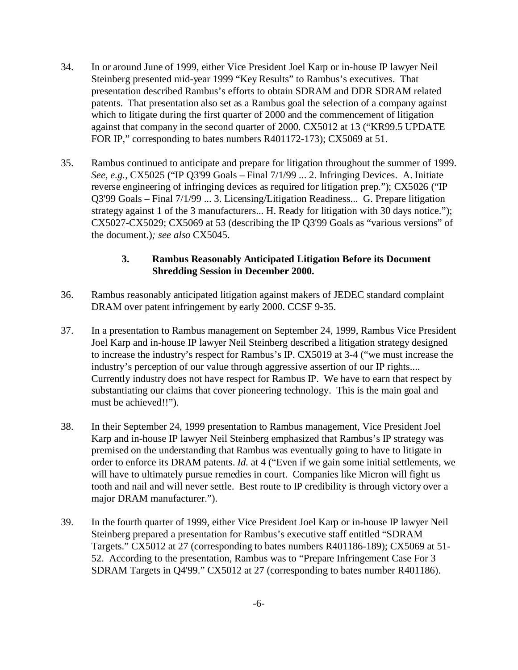- 34. In or around June of 1999, either Vice President Joel Karp or in-house IP lawyer Neil Steinberg presented mid-year 1999 "Key Results" to Rambus's executives. That presentation described Rambus's efforts to obtain SDRAM and DDR SDRAM related patents. That presentation also set as a Rambus goal the selection of a company against which to litigate during the first quarter of 2000 and the commencement of litigation against that company in the second quarter of 2000. CX5012 at 13 ("KR99.5 UPDATE FOR IP," corresponding to bates numbers R401172-173); CX5069 at 51.
- 35. Rambus continued to anticipate and prepare for litigation throughout the summer of 1999. *See, e.g.,* CX5025 ("IP Q3'99 Goals – Final 7/1/99 ... 2. Infringing Devices. A. Initiate reverse engineering of infringing devices as required for litigation prep."); CX5026 ("IP Q3'99 Goals – Final 7/1/99 ... 3. Licensing/Litigation Readiness... G. Prepare litigation strategy against 1 of the 3 manufacturers... H. Ready for litigation with 30 days notice."); CX5027-CX5029; CX5069 at 53 (describing the IP Q3'99 Goals as "various versions" of the document.)*; see also* CX5045.

### **3. Rambus Reasonably Anticipated Litigation Before its Document Shredding Session in December 2000.**

- 36. Rambus reasonably anticipated litigation against makers of JEDEC standard complaint DRAM over patent infringement by early 2000. CCSF 9-35.
- 37. In a presentation to Rambus management on September 24, 1999, Rambus Vice President Joel Karp and in-house IP lawyer Neil Steinberg described a litigation strategy designed to increase the industry's respect for Rambus's IP. CX5019 at 3-4 ("we must increase the industry's perception of our value through aggressive assertion of our IP rights.... Currently industry does not have respect for Rambus IP. We have to earn that respect by substantiating our claims that cover pioneering technology. This is the main goal and must be achieved!!").
- 38. In their September 24, 1999 presentation to Rambus management, Vice President Joel Karp and in-house IP lawyer Neil Steinberg emphasized that Rambus's IP strategy was premised on the understanding that Rambus was eventually going to have to litigate in order to enforce its DRAM patents. *Id.* at 4 ("Even if we gain some initial settlements, we will have to ultimately pursue remedies in court. Companies like Micron will fight us tooth and nail and will never settle. Best route to IP credibility is through victory over a major DRAM manufacturer.").
- 39. In the fourth quarter of 1999, either Vice President Joel Karp or in-house IP lawyer Neil Steinberg prepared a presentation for Rambus's executive staff entitled "SDRAM Targets." CX5012 at 27 (corresponding to bates numbers R401186-189); CX5069 at 51- 52. According to the presentation, Rambus was to "Prepare Infringement Case For 3 SDRAM Targets in Q4'99." CX5012 at 27 (corresponding to bates number R401186).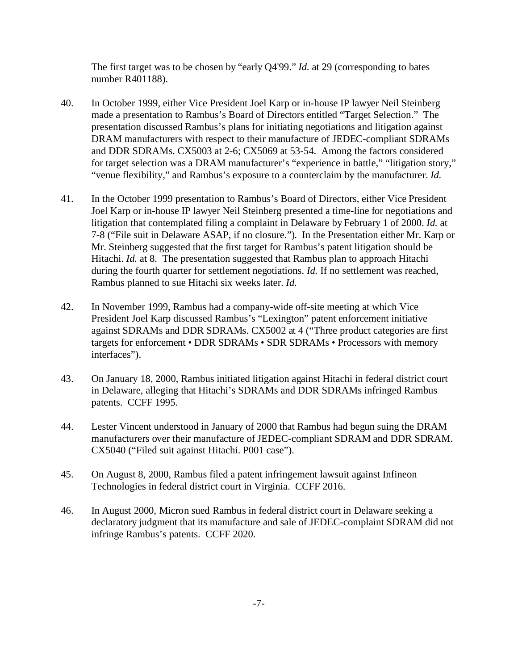The first target was to be chosen by "early Q4'99." *Id.* at 29 (corresponding to bates number R401188).

- 40. In October 1999, either Vice President Joel Karp or in-house IP lawyer Neil Steinberg made a presentation to Rambus's Board of Directors entitled "Target Selection." The presentation discussed Rambus's plans for initiating negotiations and litigation against DRAM manufacturers with respect to their manufacture of JEDEC-compliant SDRAMs and DDR SDRAMs. CX5003 at 2-6; CX5069 at 53-54. Among the factors considered for target selection was a DRAM manufacturer's "experience in battle," "litigation story," "venue flexibility," and Rambus's exposure to a counterclaim by the manufacturer. *Id.*
- 41. In the October 1999 presentation to Rambus's Board of Directors, either Vice President Joel Karp or in-house IP lawyer Neil Steinberg presented a time-line for negotiations and litigation that contemplated filing a complaint in Delaware by February 1 of 2000. *Id.* at 7-8 ("File suit in Delaware ASAP, if no closure."). In the Presentation either Mr. Karp or Mr. Steinberg suggested that the first target for Rambus's patent litigation should be Hitachi. *Id.* at 8. The presentation suggested that Rambus plan to approach Hitachi during the fourth quarter for settlement negotiations. *Id.* If no settlement was reached, Rambus planned to sue Hitachi six weeks later. *Id.*
- 42. In November 1999, Rambus had a company-wide off-site meeting at which Vice President Joel Karp discussed Rambus's "Lexington" patent enforcement initiative against SDRAMs and DDR SDRAMs. CX5002 at 4 ("Three product categories are first targets for enforcement • DDR SDRAMs • SDR SDRAMs • Processors with memory interfaces").
- 43. On January 18, 2000, Rambus initiated litigation against Hitachi in federal district court in Delaware, alleging that Hitachi's SDRAMs and DDR SDRAMs infringed Rambus patents. CCFF 1995.
- 44. Lester Vincent understood in January of 2000 that Rambus had begun suing the DRAM manufacturers over their manufacture of JEDEC-compliant SDRAM and DDR SDRAM. CX5040 ("Filed suit against Hitachi. P001 case").
- 45. On August 8, 2000, Rambus filed a patent infringement lawsuit against Infineon Technologies in federal district court in Virginia. CCFF 2016.
- 46. In August 2000, Micron sued Rambus in federal district court in Delaware seeking a declaratory judgment that its manufacture and sale of JEDEC-complaint SDRAM did not infringe Rambus's patents. CCFF 2020.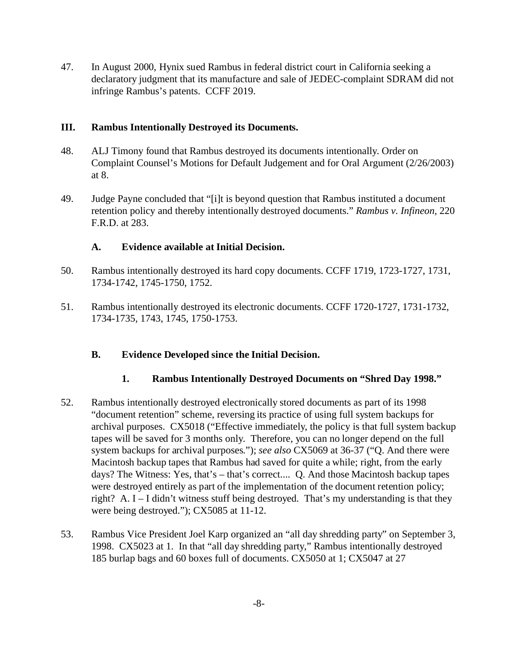47. In August 2000, Hynix sued Rambus in federal district court in California seeking a declaratory judgment that its manufacture and sale of JEDEC-complaint SDRAM did not infringe Rambus's patents. CCFF 2019.

#### **III. Rambus Intentionally Destroyed its Documents.**

- 48. ALJ Timony found that Rambus destroyed its documents intentionally. Order on Complaint Counsel's Motions for Default Judgement and for Oral Argument (2/26/2003) at 8.
- 49. Judge Payne concluded that "[i]t is beyond question that Rambus instituted a document retention policy and thereby intentionally destroyed documents." *Rambus v. Infineon,* 220 F.R.D. at 283.

### **A. Evidence available at Initial Decision.**

- 50. Rambus intentionally destroyed its hard copy documents. CCFF 1719, 1723-1727, 1731, 1734-1742, 1745-1750, 1752.
- 51. Rambus intentionally destroyed its electronic documents. CCFF 1720-1727, 1731-1732, 1734-1735, 1743, 1745, 1750-1753.

### **B. Evidence Developed since the Initial Decision.**

### **1. Rambus Intentionally Destroyed Documents on "Shred Day 1998."**

- 52. Rambus intentionally destroyed electronically stored documents as part of its 1998 "document retention" scheme, reversing its practice of using full system backups for archival purposes. CX5018 ("Effective immediately, the policy is that full system backup tapes will be saved for 3 months only. Therefore, you can no longer depend on the full system backups for archival purposes."); *see also* CX5069 at 36-37 ("Q. And there were Macintosh backup tapes that Rambus had saved for quite a while; right, from the early days? The Witness: Yes, that's – that's correct.... Q. And those Macintosh backup tapes were destroyed entirely as part of the implementation of the document retention policy; right? A. I – I didn't witness stuff being destroyed. That's my understanding is that they were being destroyed."); CX5085 at 11-12.
- 53. Rambus Vice President Joel Karp organized an "all day shredding party" on September 3, 1998. CX5023 at 1. In that "all day shredding party," Rambus intentionally destroyed 185 burlap bags and 60 boxes full of documents. CX5050 at 1; CX5047 at 27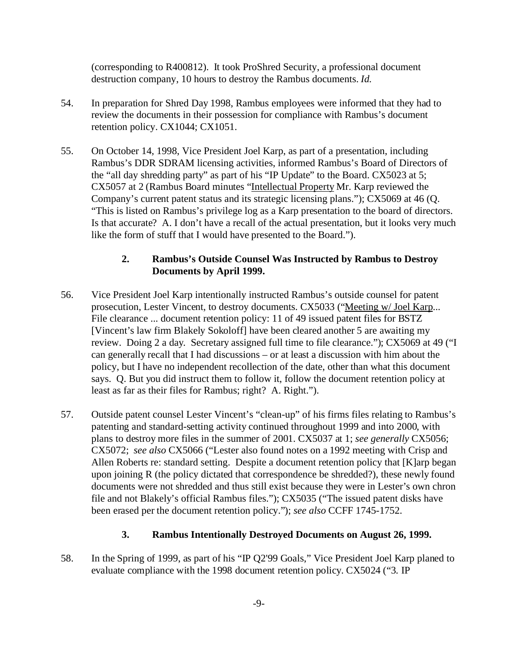(corresponding to R400812). It took ProShred Security, a professional document destruction company, 10 hours to destroy the Rambus documents. *Id.*

- 54. In preparation for Shred Day 1998, Rambus employees were informed that they had to review the documents in their possession for compliance with Rambus's document retention policy. CX1044; CX1051.
- 55. On October 14, 1998, Vice President Joel Karp, as part of a presentation, including Rambus's DDR SDRAM licensing activities, informed Rambus's Board of Directors of the "all day shredding party" as part of his "IP Update" to the Board. CX5023 at 5; CX5057 at 2 (Rambus Board minutes "Intellectual Property Mr. Karp reviewed the Company's current patent status and its strategic licensing plans."); CX5069 at 46 (Q. "This is listed on Rambus's privilege log as a Karp presentation to the board of directors. Is that accurate? A. I don't have a recall of the actual presentation, but it looks very much like the form of stuff that I would have presented to the Board.").

### **2. Rambus's Outside Counsel Was Instructed by Rambus to Destroy Documents by April 1999.**

- 56. Vice President Joel Karp intentionally instructed Rambus's outside counsel for patent prosecution, Lester Vincent, to destroy documents. CX5033 ("Meeting w/ Joel Karp... File clearance ... document retention policy: 11 of 49 issued patent files for BSTZ [Vincent's law firm Blakely Sokoloff] have been cleared another 5 are awaiting my review. Doing 2 a day. Secretary assigned full time to file clearance."); CX5069 at 49 ("I can generally recall that I had discussions – or at least a discussion with him about the policy, but I have no independent recollection of the date, other than what this document says. Q. But you did instruct them to follow it, follow the document retention policy at least as far as their files for Rambus; right? A. Right.").
- 57. Outside patent counsel Lester Vincent's "clean-up" of his firms files relating to Rambus's patenting and standard-setting activity continued throughout 1999 and into 2000, with plans to destroy more files in the summer of 2001. CX5037 at 1; *see generally* CX5056; CX5072; *see also* CX5066 ("Lester also found notes on a 1992 meeting with Crisp and Allen Roberts re: standard setting. Despite a document retention policy that [K]arp began upon joining R (the policy dictated that correspondence be shredded?), these newly found documents were not shredded and thus still exist because they were in Lester's own chron file and not Blakely's official Rambus files."); CX5035 ("The issued patent disks have been erased per the document retention policy."); *see also* CCFF 1745-1752.

### **3. Rambus Intentionally Destroyed Documents on August 26, 1999.**

58. In the Spring of 1999, as part of his "IP Q2'99 Goals," Vice President Joel Karp planed to evaluate compliance with the 1998 document retention policy. CX5024 ("3. IP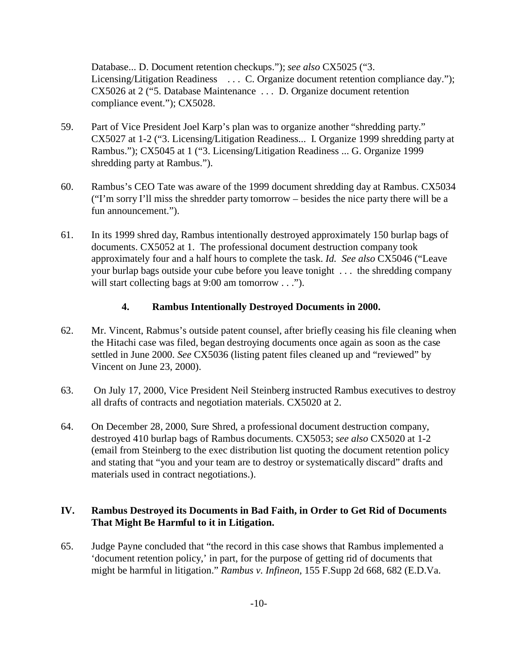Database... D. Document retention checkups."); *see also* CX5025 ("3. Licensing/Litigation Readiness ... C. Organize document retention compliance day."); CX5026 at 2 ("5. Database Maintenance . . . D. Organize document retention compliance event."); CX5028.

- 59. Part of Vice President Joel Karp's plan was to organize another "shredding party." CX5027 at 1-2 ("3. Licensing/Litigation Readiness... I. Organize 1999 shredding party at Rambus."); CX5045 at 1 ("3. Licensing/Litigation Readiness ... G. Organize 1999 shredding party at Rambus.").
- 60. Rambus's CEO Tate was aware of the 1999 document shredding day at Rambus. CX5034 ("I'm sorry I'll miss the shredder party tomorrow – besides the nice party there will be a fun announcement.").
- 61. In its 1999 shred day, Rambus intentionally destroyed approximately 150 burlap bags of documents. CX5052 at 1. The professional document destruction company took approximately four and a half hours to complete the task. *Id. See also* CX5046 ("Leave your burlap bags outside your cube before you leave tonight . . . the shredding company will start collecting bags at 9:00 am tomorrow . . .").

### **4. Rambus Intentionally Destroyed Documents in 2000.**

- 62. Mr. Vincent, Rabmus's outside patent counsel, after briefly ceasing his file cleaning when the Hitachi case was filed, began destroying documents once again as soon as the case settled in June 2000. *See* CX5036 (listing patent files cleaned up and "reviewed" by Vincent on June 23, 2000).
- 63. On July 17, 2000, Vice President Neil Steinberg instructed Rambus executives to destroy all drafts of contracts and negotiation materials. CX5020 at 2.
- 64. On December 28, 2000, Sure Shred, a professional document destruction company, destroyed 410 burlap bags of Rambus documents. CX5053; *see also* CX5020 at 1-2 (email from Steinberg to the exec distribution list quoting the document retention policy and stating that "you and your team are to destroy or systematically discard" drafts and materials used in contract negotiations.).

### **IV. Rambus Destroyed its Documents in Bad Faith, in Order to Get Rid of Documents That Might Be Harmful to it in Litigation.**

65. Judge Payne concluded that "the record in this case shows that Rambus implemented a 'document retention policy,' in part, for the purpose of getting rid of documents that might be harmful in litigation." *Rambus v. Infineon,* 155 F.Supp 2d 668, 682 (E.D.Va.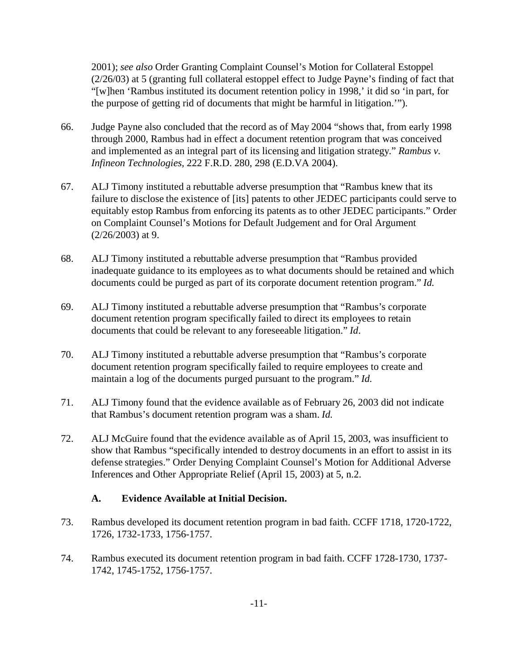2001); *see also* Order Granting Complaint Counsel's Motion for Collateral Estoppel (2/26/03) at 5 (granting full collateral estoppel effect to Judge Payne's finding of fact that "[w]hen 'Rambus instituted its document retention policy in 1998,' it did so 'in part, for the purpose of getting rid of documents that might be harmful in litigation.'").

- 66. Judge Payne also concluded that the record as of May 2004 "shows that, from early 1998 through 2000, Rambus had in effect a document retention program that was conceived and implemented as an integral part of its licensing and litigation strategy." *Rambus v. Infineon Technologies,* 222 F.R.D. 280, 298 (E.D.VA 2004).
- 67. ALJ Timony instituted a rebuttable adverse presumption that "Rambus knew that its failure to disclose the existence of [its] patents to other JEDEC participants could serve to equitably estop Rambus from enforcing its patents as to other JEDEC participants." Order on Complaint Counsel's Motions for Default Judgement and for Oral Argument  $(2/26/2003)$  at 9.
- 68. ALJ Timony instituted a rebuttable adverse presumption that "Rambus provided inadequate guidance to its employees as to what documents should be retained and which documents could be purged as part of its corporate document retention program." *Id.*
- 69. ALJ Timony instituted a rebuttable adverse presumption that "Rambus's corporate document retention program specifically failed to direct its employees to retain documents that could be relevant to any foreseeable litigation." *Id*.
- 70. ALJ Timony instituted a rebuttable adverse presumption that "Rambus's corporate document retention program specifically failed to require employees to create and maintain a log of the documents purged pursuant to the program." *Id.*
- 71. ALJ Timony found that the evidence available as of February 26, 2003 did not indicate that Rambus's document retention program was a sham. *Id.*
- 72. ALJ McGuire found that the evidence available as of April 15, 2003, was insufficient to show that Rambus "specifically intended to destroy documents in an effort to assist in its defense strategies." Order Denying Complaint Counsel's Motion for Additional Adverse Inferences and Other Appropriate Relief (April 15, 2003) at 5, n.2.

# **A. Evidence Available at Initial Decision.**

- 73. Rambus developed its document retention program in bad faith. CCFF 1718, 1720-1722, 1726, 1732-1733, 1756-1757.
- 74. Rambus executed its document retention program in bad faith. CCFF 1728-1730, 1737- 1742, 1745-1752, 1756-1757.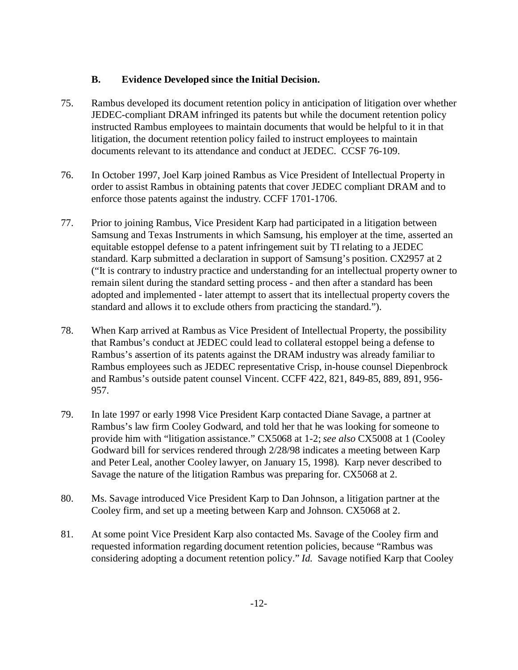### **B. Evidence Developed since the Initial Decision.**

- 75. Rambus developed its document retention policy in anticipation of litigation over whether JEDEC-compliant DRAM infringed its patents but while the document retention policy instructed Rambus employees to maintain documents that would be helpful to it in that litigation, the document retention policy failed to instruct employees to maintain documents relevant to its attendance and conduct at JEDEC. CCSF 76-109.
- 76. In October 1997, Joel Karp joined Rambus as Vice President of Intellectual Property in order to assist Rambus in obtaining patents that cover JEDEC compliant DRAM and to enforce those patents against the industry. CCFF 1701-1706.
- 77. Prior to joining Rambus, Vice President Karp had participated in a litigation between Samsung and Texas Instruments in which Samsung, his employer at the time, asserted an equitable estoppel defense to a patent infringement suit by TI relating to a JEDEC standard. Karp submitted a declaration in support of Samsung's position. CX2957 at 2 ("It is contrary to industry practice and understanding for an intellectual property owner to remain silent during the standard setting process - and then after a standard has been adopted and implemented - later attempt to assert that its intellectual property covers the standard and allows it to exclude others from practicing the standard.").
- 78. When Karp arrived at Rambus as Vice President of Intellectual Property, the possibility that Rambus's conduct at JEDEC could lead to collateral estoppel being a defense to Rambus's assertion of its patents against the DRAM industry was already familiar to Rambus employees such as JEDEC representative Crisp, in-house counsel Diepenbrock and Rambus's outside patent counsel Vincent. CCFF 422, 821, 849-85, 889, 891, 956- 957.
- 79. In late 1997 or early 1998 Vice President Karp contacted Diane Savage, a partner at Rambus's law firm Cooley Godward, and told her that he was looking for someone to provide him with "litigation assistance." CX5068 at 1-2; *see also* CX5008 at 1 (Cooley Godward bill for services rendered through 2/28/98 indicates a meeting between Karp and Peter Leal, another Cooley lawyer, on January 15, 1998). Karp never described to Savage the nature of the litigation Rambus was preparing for. CX5068 at 2.
- 80. Ms. Savage introduced Vice President Karp to Dan Johnson, a litigation partner at the Cooley firm, and set up a meeting between Karp and Johnson. CX5068 at 2.
- 81. At some point Vice President Karp also contacted Ms. Savage of the Cooley firm and requested information regarding document retention policies, because "Rambus was considering adopting a document retention policy." *Id.*Savage notified Karp that Cooley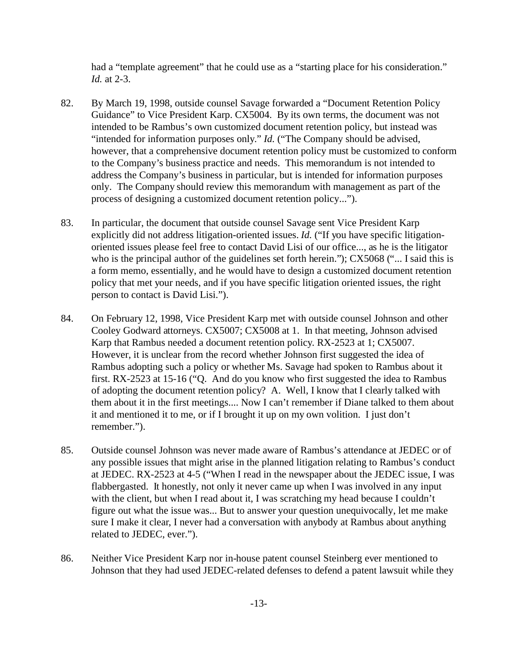had a "template agreement" that he could use as a "starting place for his consideration." *Id.* at 2-3.

- 82. By March 19, 1998, outside counsel Savage forwarded a "Document Retention Policy Guidance" to Vice President Karp. CX5004. By its own terms, the document was not intended to be Rambus's own customized document retention policy, but instead was "intended for information purposes only." *Id.* ("The Company should be advised, however, that a comprehensive document retention policy must be customized to conform to the Company's business practice and needs. This memorandum is not intended to address the Company's business in particular, but is intended for information purposes only. The Company should review this memorandum with management as part of the process of designing a customized document retention policy...").
- 83. In particular, the document that outside counsel Savage sent Vice President Karp explicitly did not address litigation-oriented issues. *Id.* ("If you have specific litigationoriented issues please feel free to contact David Lisi of our office..., as he is the litigator who is the principal author of the guidelines set forth herein."); CX5068 ("... I said this is a form memo, essentially, and he would have to design a customized document retention policy that met your needs, and if you have specific litigation oriented issues, the right person to contact is David Lisi.").
- 84. On February 12, 1998, Vice President Karp met with outside counsel Johnson and other Cooley Godward attorneys. CX5007; CX5008 at 1. In that meeting, Johnson advised Karp that Rambus needed a document retention policy. RX-2523 at 1; CX5007. However, it is unclear from the record whether Johnson first suggested the idea of Rambus adopting such a policy or whether Ms. Savage had spoken to Rambus about it first. RX-2523 at 15-16 ("Q. And do you know who first suggested the idea to Rambus of adopting the document retention policy? A. Well, I know that I clearly talked with them about it in the first meetings.... Now I can't remember if Diane talked to them about it and mentioned it to me, or if I brought it up on my own volition. I just don't remember.").
- 85. Outside counsel Johnson was never made aware of Rambus's attendance at JEDEC or of any possible issues that might arise in the planned litigation relating to Rambus's conduct at JEDEC. RX-2523 at 4-5 ("When I read in the newspaper about the JEDEC issue, I was flabbergasted. It honestly, not only it never came up when I was involved in any input with the client, but when I read about it, I was scratching my head because I couldn't figure out what the issue was... But to answer your question unequivocally, let me make sure I make it clear, I never had a conversation with anybody at Rambus about anything related to JEDEC, ever.").
- 86. Neither Vice President Karp nor in-house patent counsel Steinberg ever mentioned to Johnson that they had used JEDEC-related defenses to defend a patent lawsuit while they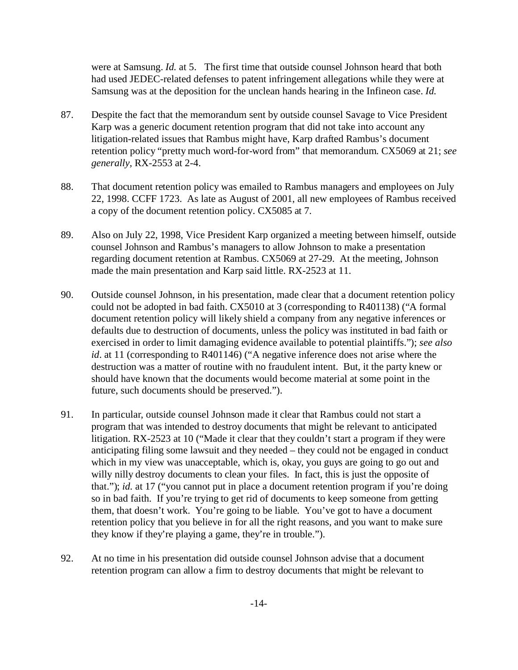were at Samsung. *Id.* at 5. The first time that outside counsel Johnson heard that both had used JEDEC-related defenses to patent infringement allegations while they were at Samsung was at the deposition for the unclean hands hearing in the Infineon case. *Id.* 

- 87. Despite the fact that the memorandum sent by outside counsel Savage to Vice President Karp was a generic document retention program that did not take into account any litigation-related issues that Rambus might have, Karp drafted Rambus's document retention policy "pretty much word-for-word from" that memorandum. CX5069 at 21; *see generally,* RX-2553 at 2-4.
- 88. That document retention policy was emailed to Rambus managers and employees on July 22, 1998. CCFF 1723. As late as August of 2001, all new employees of Rambus received a copy of the document retention policy. CX5085 at 7.
- 89. Also on July 22, 1998, Vice President Karp organized a meeting between himself, outside counsel Johnson and Rambus's managers to allow Johnson to make a presentation regarding document retention at Rambus. CX5069 at 27-29. At the meeting, Johnson made the main presentation and Karp said little. RX-2523 at 11.
- 90. Outside counsel Johnson, in his presentation, made clear that a document retention policy could not be adopted in bad faith. CX5010 at 3 (corresponding to R401138) ("A formal document retention policy will likely shield a company from any negative inferences or defaults due to destruction of documents, unless the policy was instituted in bad faith or exercised in order to limit damaging evidence available to potential plaintiffs."); *see also id*. at 11 (corresponding to R401146) ("A negative inference does not arise where the destruction was a matter of routine with no fraudulent intent. But, it the party knew or should have known that the documents would become material at some point in the future, such documents should be preserved.").
- 91. In particular, outside counsel Johnson made it clear that Rambus could not start a program that was intended to destroy documents that might be relevant to anticipated litigation. RX-2523 at 10 ("Made it clear that they couldn't start a program if they were anticipating filing some lawsuit and they needed – they could not be engaged in conduct which in my view was unacceptable, which is, okay, you guys are going to go out and willy nilly destroy documents to clean your files. In fact, this is just the opposite of that."); *id.* at 17 ("you cannot put in place a document retention program if you're doing so in bad faith. If you're trying to get rid of documents to keep someone from getting them, that doesn't work. You're going to be liable. You've got to have a document retention policy that you believe in for all the right reasons, and you want to make sure they know if they're playing a game, they're in trouble.").
- 92. At no time in his presentation did outside counsel Johnson advise that a document retention program can allow a firm to destroy documents that might be relevant to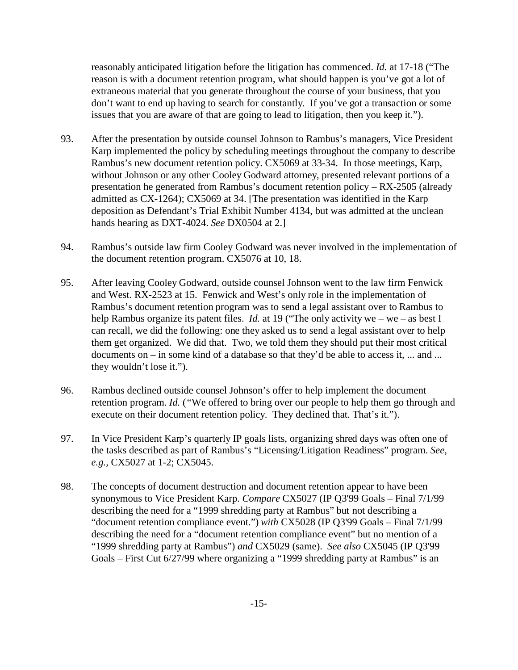reasonably anticipated litigation before the litigation has commenced. *Id.* at 17-18 ("The reason is with a document retention program, what should happen is you've got a lot of extraneous material that you generate throughout the course of your business, that you don't want to end up having to search for constantly. If you've got a transaction or some issues that you are aware of that are going to lead to litigation, then you keep it.").

- 93. After the presentation by outside counsel Johnson to Rambus's managers, Vice President Karp implemented the policy by scheduling meetings throughout the company to describe Rambus's new document retention policy. CX5069 at 33-34. In those meetings, Karp, without Johnson or any other Cooley Godward attorney, presented relevant portions of a presentation he generated from Rambus's document retention policy – RX-2505 (already admitted as CX-1264); CX5069 at 34. [The presentation was identified in the Karp deposition as Defendant's Trial Exhibit Number 4134, but was admitted at the unclean hands hearing as DXT-4024. *See* DX0504 at 2.]
- 94. Rambus's outside law firm Cooley Godward was never involved in the implementation of the document retention program. CX5076 at 10, 18.
- 95. After leaving Cooley Godward, outside counsel Johnson went to the law firm Fenwick and West. RX-2523 at 15. Fenwick and West's only role in the implementation of Rambus's document retention program was to send a legal assistant over to Rambus to help Rambus organize its patent files. *Id.* at 19 ("The only activity we – we – as best I can recall, we did the following: one they asked us to send a legal assistant over to help them get organized. We did that. Two, we told them they should put their most critical documents on – in some kind of a database so that they'd be able to access it, ... and ... they wouldn't lose it.").
- 96. Rambus declined outside counsel Johnson's offer to help implement the document retention program. *Id.* (*"*We offered to bring over our people to help them go through and execute on their document retention policy. They declined that. That's it.").
- 97. In Vice President Karp's quarterly IP goals lists, organizing shred days was often one of the tasks described as part of Rambus's "Licensing/Litigation Readiness" program. *See, e.g.,* CX5027 at 1-2; CX5045.
- 98. The concepts of document destruction and document retention appear to have been synonymous to Vice President Karp. *Compare* CX5027 (IP Q3'99 Goals – Final 7/1/99 describing the need for a "1999 shredding party at Rambus" but not describing a "document retention compliance event.") *with* CX5028 (IP Q3'99 Goals – Final 7/1/99 describing the need for a "document retention compliance event" but no mention of a "1999 shredding party at Rambus") *and* CX5029 (same). *See also* CX5045 (IP Q3'99 Goals – First Cut 6/27/99 where organizing a "1999 shredding party at Rambus" is an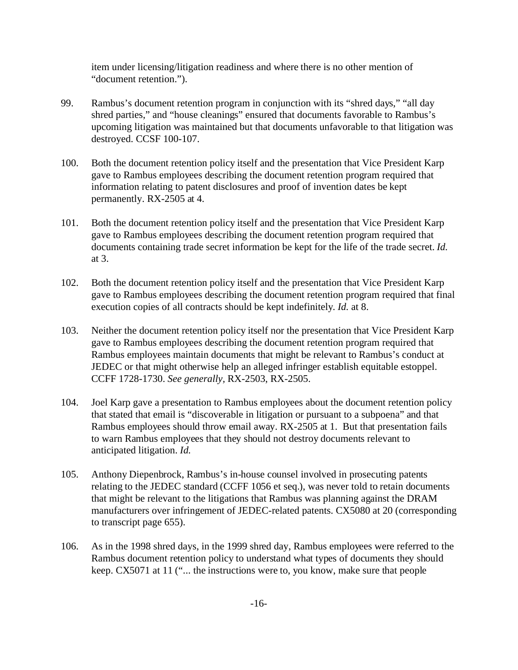item under licensing/litigation readiness and where there is no other mention of "document retention.").

- 99. Rambus's document retention program in conjunction with its "shred days," "all day shred parties," and "house cleanings" ensured that documents favorable to Rambus's upcoming litigation was maintained but that documents unfavorable to that litigation was destroyed. CCSF 100-107.
- 100. Both the document retention policy itself and the presentation that Vice President Karp gave to Rambus employees describing the document retention program required that information relating to patent disclosures and proof of invention dates be kept permanently. RX-2505 at 4.
- 101. Both the document retention policy itself and the presentation that Vice President Karp gave to Rambus employees describing the document retention program required that documents containing trade secret information be kept for the life of the trade secret. *Id.* at 3.
- 102. Both the document retention policy itself and the presentation that Vice President Karp gave to Rambus employees describing the document retention program required that final execution copies of all contracts should be kept indefinitely. *Id.* at 8.
- 103. Neither the document retention policy itself nor the presentation that Vice President Karp gave to Rambus employees describing the document retention program required that Rambus employees maintain documents that might be relevant to Rambus's conduct at JEDEC or that might otherwise help an alleged infringer establish equitable estoppel. CCFF 1728-1730. *See generally,* RX-2503, RX-2505.
- 104. Joel Karp gave a presentation to Rambus employees about the document retention policy that stated that email is "discoverable in litigation or pursuant to a subpoena" and that Rambus employees should throw email away. RX-2505 at 1. But that presentation fails to warn Rambus employees that they should not destroy documents relevant to anticipated litigation. *Id.*
- 105. Anthony Diepenbrock, Rambus's in-house counsel involved in prosecuting patents relating to the JEDEC standard (CCFF 1056 et seq.), was never told to retain documents that might be relevant to the litigations that Rambus was planning against the DRAM manufacturers over infringement of JEDEC-related patents. CX5080 at 20 (corresponding to transcript page 655).
- 106. As in the 1998 shred days, in the 1999 shred day, Rambus employees were referred to the Rambus document retention policy to understand what types of documents they should keep. CX5071 at 11 ("... the instructions were to, you know, make sure that people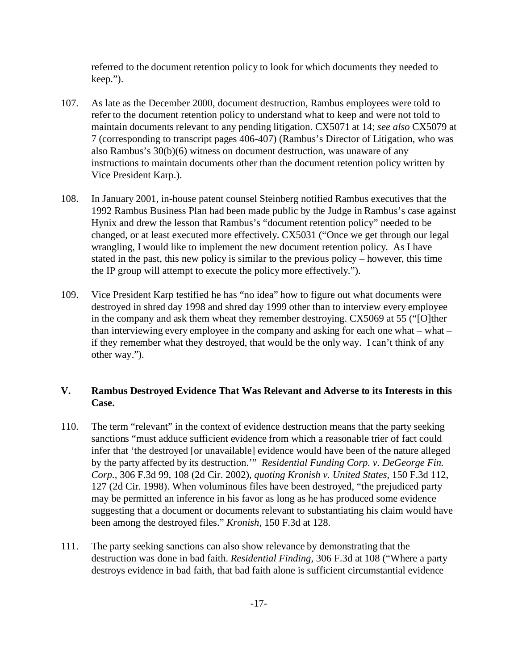referred to the document retention policy to look for which documents they needed to keep.").

- 107. As late as the December 2000, document destruction, Rambus employees were told to refer to the document retention policy to understand what to keep and were not told to maintain documents relevant to any pending litigation. CX5071 at 14; *see also* CX5079 at 7 (corresponding to transcript pages 406-407) (Rambus's Director of Litigation, who was also Rambus's 30(b)(6) witness on document destruction, was unaware of any instructions to maintain documents other than the document retention policy written by Vice President Karp.).
- 108. In January 2001, in-house patent counsel Steinberg notified Rambus executives that the 1992 Rambus Business Plan had been made public by the Judge in Rambus's case against Hynix and drew the lesson that Rambus's "document retention policy" needed to be changed, or at least executed more effectively. CX5031 ("Once we get through our legal wrangling, I would like to implement the new document retention policy. As I have stated in the past, this new policy is similar to the previous policy – however, this time the IP group will attempt to execute the policy more effectively.").
- 109. Vice President Karp testified he has "no idea" how to figure out what documents were destroyed in shred day 1998 and shred day 1999 other than to interview every employee in the company and ask them wheat they remember destroying. CX5069 at 55 ("[O]ther than interviewing every employee in the company and asking for each one what – what – if they remember what they destroyed, that would be the only way. I can't think of any other way.").

# **V. Rambus Destroyed Evidence That Was Relevant and Adverse to its Interests in this Case.**

- 110. The term "relevant" in the context of evidence destruction means that the party seeking sanctions "must adduce sufficient evidence from which a reasonable trier of fact could infer that 'the destroyed [or unavailable] evidence would have been of the nature alleged by the party affected by its destruction.'" *Residential Funding Corp. v. DeGeorge Fin. Corp.,* 306 F.3d 99, 108 (2d Cir. 2002), *quoting Kronish v. United States,* 150 F.3d 112, 127 (2d Cir. 1998). When voluminous files have been destroyed, "the prejudiced party may be permitted an inference in his favor as long as he has produced some evidence suggesting that a document or documents relevant to substantiating his claim would have been among the destroyed files." *Kronish,* 150 F.3d at 128.
- 111. The party seeking sanctions can also show relevance by demonstrating that the destruction was done in bad faith. *Residential Finding,* 306 F.3d at 108 ("Where a party destroys evidence in bad faith, that bad faith alone is sufficient circumstantial evidence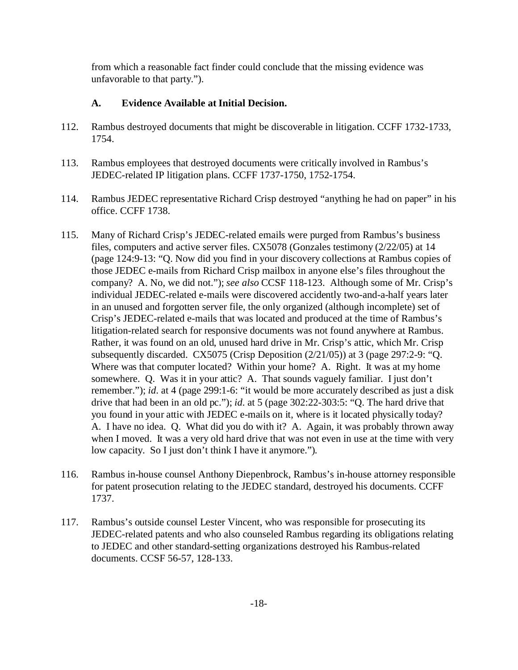from which a reasonable fact finder could conclude that the missing evidence was unfavorable to that party.").

# **A. Evidence Available at Initial Decision.**

- 112. Rambus destroyed documents that might be discoverable in litigation. CCFF 1732-1733, 1754.
- 113. Rambus employees that destroyed documents were critically involved in Rambus's JEDEC-related IP litigation plans. CCFF 1737-1750, 1752-1754.
- 114. Rambus JEDEC representative Richard Crisp destroyed "anything he had on paper" in his office. CCFF 1738.
- 115. Many of Richard Crisp's JEDEC-related emails were purged from Rambus's business files, computers and active server files. CX5078 (Gonzales testimony (2/22/05) at 14 (page 124:9-13: "Q. Now did you find in your discovery collections at Rambus copies of those JEDEC e-mails from Richard Crisp mailbox in anyone else's files throughout the company? A. No, we did not."); *see also* CCSF 118-123. Although some of Mr. Crisp's individual JEDEC-related e-mails were discovered accidently two-and-a-half years later in an unused and forgotten server file, the only organized (although incomplete) set of Crisp's JEDEC-related e-mails that was located and produced at the time of Rambus's litigation-related search for responsive documents was not found anywhere at Rambus. Rather, it was found on an old, unused hard drive in Mr. Crisp's attic, which Mr. Crisp subsequently discarded. CX5075 (Crisp Deposition (2/21/05)) at 3 (page 297:2-9: "Q. Where was that computer located? Within your home? A. Right. It was at my home somewhere. Q. Was it in your attic? A. That sounds vaguely familiar. I just don't remember."); *id*. at 4 (page 299:1-6: "it would be more accurately described as just a disk drive that had been in an old pc."); *id*. at 5 (page 302:22-303:5: "Q. The hard drive that you found in your attic with JEDEC e-mails on it, where is it located physically today? A. I have no idea. Q. What did you do with it? A. Again, it was probably thrown away when I moved. It was a very old hard drive that was not even in use at the time with very low capacity. So I just don't think I have it anymore.").
- 116. Rambus in-house counsel Anthony Diepenbrock, Rambus's in-house attorney responsible for patent prosecution relating to the JEDEC standard, destroyed his documents. CCFF 1737.
- 117. Rambus's outside counsel Lester Vincent, who was responsible for prosecuting its JEDEC-related patents and who also counseled Rambus regarding its obligations relating to JEDEC and other standard-setting organizations destroyed his Rambus-related documents. CCSF 56-57, 128-133.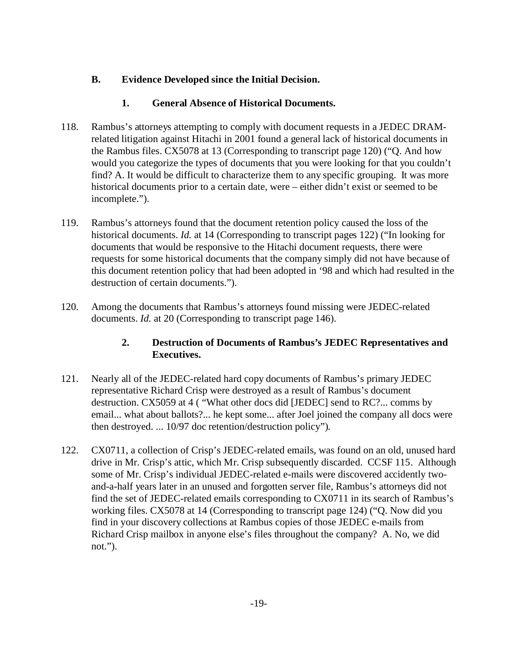# **B. Evidence Developed since the Initial Decision.**

# **1. General Absence of Historical Documents.**

- 118. Rambus's attorneys attempting to comply with document requests in a JEDEC DRAMrelated litigation against Hitachi in 2001 found a general lack of historical documents in the Rambus files. CX5078 at 13 (Corresponding to transcript page 120) ("Q. And how would you categorize the types of documents that you were looking for that you couldn't find? A. It would be difficult to characterize them to any specific grouping. It was more historical documents prior to a certain date, were – either didn't exist or seemed to be incomplete.").
- 119. Rambus's attorneys found that the document retention policy caused the loss of the historical documents. *Id.* at 14 (Corresponding to transcript pages 122) ("In looking for documents that would be responsive to the Hitachi document requests, there were requests for some historical documents that the company simply did not have because of this document retention policy that had been adopted in '98 and which had resulted in the destruction of certain documents.").
- 120. Among the documents that Rambus's attorneys found missing were JEDEC-related documents. *Id.* at 20 (Corresponding to transcript page 146).

# **2. Destruction of Documents of Rambus's JEDEC Representatives and Executives.**

- 121. Nearly all of the JEDEC-related hard copy documents of Rambus's primary JEDEC representative Richard Crisp were destroyed as a result of Rambus's document destruction. CX5059 at 4 ( "What other docs did [JEDEC] send to RC?... comms by email... what about ballots?... he kept some... after Joel joined the company all docs were then destroyed. ... 10/97 doc retention/destruction policy").
- 122. CX0711, a collection of Crisp's JEDEC-related emails, was found on an old, unused hard drive in Mr. Crisp's attic, which Mr. Crisp subsequently discarded. CCSF 115. Although some of Mr. Crisp's individual JEDEC-related e-mails were discovered accidently twoand-a-half years later in an unused and forgotten server file, Rambus's attorneys did not find the set of JEDEC-related emails corresponding to CX0711 in its search of Rambus's working files. CX5078 at 14 (Corresponding to transcript page 124) ("Q. Now did you find in your discovery collections at Rambus copies of those JEDEC e-mails from Richard Crisp mailbox in anyone else's files throughout the company? A. No, we did not.").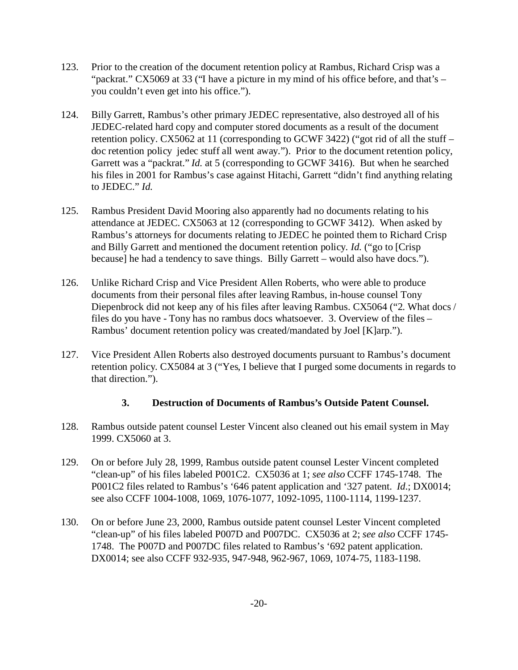- 123. Prior to the creation of the document retention policy at Rambus, Richard Crisp was a "packrat." CX5069 at 33 ("I have a picture in my mind of his office before, and that's – you couldn't even get into his office.").
- 124. Billy Garrett, Rambus's other primary JEDEC representative, also destroyed all of his JEDEC-related hard copy and computer stored documents as a result of the document retention policy. CX5062 at 11 (corresponding to GCWF 3422) ("got rid of all the stuff – doc retention policy jedec stuff all went away."). Prior to the document retention policy, Garrett was a "packrat." *Id.* at 5 (corresponding to GCWF 3416). But when he searched his files in 2001 for Rambus's case against Hitachi, Garrett "didn't find anything relating to JEDEC." *Id.*
- 125. Rambus President David Mooring also apparently had no documents relating to his attendance at JEDEC. CX5063 at 12 (corresponding to GCWF 3412). When asked by Rambus's attorneys for documents relating to JEDEC he pointed them to Richard Crisp and Billy Garrett and mentioned the document retention policy. *Id.* ("go to [Crisp because] he had a tendency to save things. Billy Garrett – would also have docs.").
- 126. Unlike Richard Crisp and Vice President Allen Roberts, who were able to produce documents from their personal files after leaving Rambus, in-house counsel Tony Diepenbrock did not keep any of his files after leaving Rambus. CX5064 ("2. What docs / files do you have - Tony has no rambus docs whatsoever. 3. Overview of the files – Rambus' document retention policy was created/mandated by Joel [K]arp.").
- 127. Vice President Allen Roberts also destroyed documents pursuant to Rambus's document retention policy. CX5084 at 3 ("Yes, I believe that I purged some documents in regards to that direction.").

# **3. Destruction of Documents of Rambus's Outside Patent Counsel.**

- 128. Rambus outside patent counsel Lester Vincent also cleaned out his email system in May 1999. CX5060 at 3.
- 129. On or before July 28, 1999, Rambus outside patent counsel Lester Vincent completed "clean-up" of his files labeled P001C2. CX5036 at 1; *see also* CCFF 1745-1748. The P001C2 files related to Rambus's '646 patent application and '327 patent. *Id*.; DX0014; see also CCFF 1004-1008, 1069, 1076-1077, 1092-1095, 1100-1114, 1199-1237.
- 130. On or before June 23, 2000, Rambus outside patent counsel Lester Vincent completed "clean-up" of his files labeled P007D and P007DC. CX5036 at 2; *see also* CCFF 1745- 1748. The P007D and P007DC files related to Rambus's '692 patent application. DX0014; see also CCFF 932-935, 947-948, 962-967, 1069, 1074-75, 1183-1198.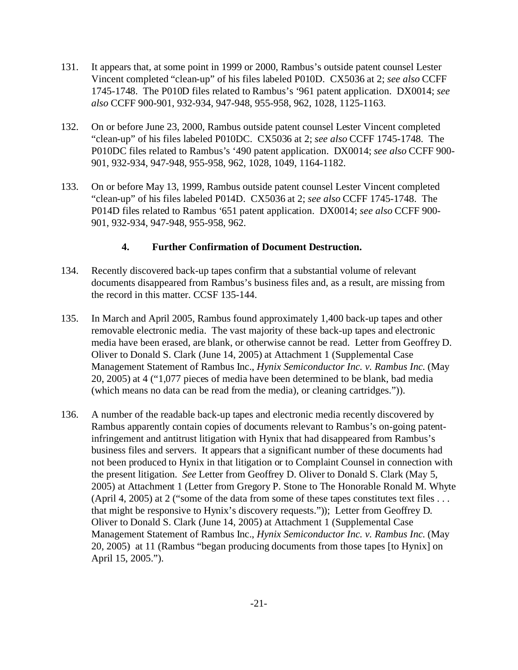- 131. It appears that, at some point in 1999 or 2000, Rambus's outside patent counsel Lester Vincent completed "clean-up" of his files labeled P010D. CX5036 at 2; *see also* CCFF 1745-1748. The P010D files related to Rambus's '961 patent application. DX0014; *see also* CCFF 900-901, 932-934, 947-948, 955-958, 962, 1028, 1125-1163.
- 132. On or before June 23, 2000, Rambus outside patent counsel Lester Vincent completed "clean-up" of his files labeled P010DC. CX5036 at 2; *see also* CCFF 1745-1748. The P010DC files related to Rambus's '490 patent application. DX0014; *see also* CCFF 900- 901, 932-934, 947-948, 955-958, 962, 1028, 1049, 1164-1182.
- 133. On or before May 13, 1999, Rambus outside patent counsel Lester Vincent completed "clean-up" of his files labeled P014D. CX5036 at 2; *see also* CCFF 1745-1748. The P014D files related to Rambus '651 patent application. DX0014; *see also* CCFF 900- 901, 932-934, 947-948, 955-958, 962.

### **4. Further Confirmation of Document Destruction.**

- 134. Recently discovered back-up tapes confirm that a substantial volume of relevant documents disappeared from Rambus's business files and, as a result, are missing from the record in this matter. CCSF 135-144.
- 135. In March and April 2005, Rambus found approximately 1,400 back-up tapes and other removable electronic media. The vast majority of these back-up tapes and electronic media have been erased, are blank, or otherwise cannot be read. Letter from Geoffrey D. Oliver to Donald S. Clark (June 14, 2005) at Attachment 1 (Supplemental Case Management Statement of Rambus Inc., *Hynix Semiconductor Inc. v. Rambus Inc.* (May 20, 2005) at 4 ("1,077 pieces of media have been determined to be blank, bad media (which means no data can be read from the media), or cleaning cartridges.")).
- 136. A number of the readable back-up tapes and electronic media recently discovered by Rambus apparently contain copies of documents relevant to Rambus's on-going patentinfringement and antitrust litigation with Hynix that had disappeared from Rambus's business files and servers. It appears that a significant number of these documents had not been produced to Hynix in that litigation or to Complaint Counsel in connection with the present litigation. *See* Letter from Geoffrey D. Oliver to Donald S. Clark (May 5, 2005) at Attachment 1 (Letter from Gregory P. Stone to The Honorable Ronald M. Whyte (April 4, 2005) at 2 ("some of the data from some of these tapes constitutes text files . . . that might be responsive to Hynix's discovery requests.")); Letter from Geoffrey D. Oliver to Donald S. Clark (June 14, 2005) at Attachment 1 (Supplemental Case Management Statement of Rambus Inc., *Hynix Semiconductor Inc. v. Rambus Inc.* (May 20, 2005) at 11 (Rambus "began producing documents from those tapes [to Hynix] on April 15, 2005.").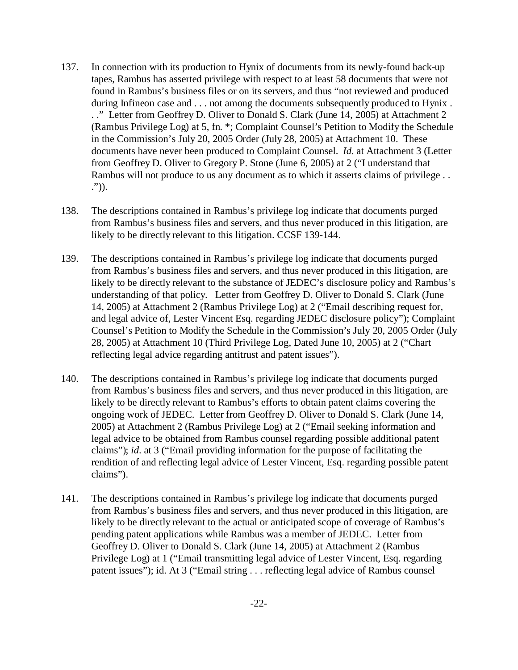- 137. In connection with its production to Hynix of documents from its newly-found back-up tapes, Rambus has asserted privilege with respect to at least 58 documents that were not found in Rambus's business files or on its servers, and thus "not reviewed and produced during Infineon case and . . . not among the documents subsequently produced to Hynix. . ." Letter from Geoffrey D. Oliver to Donald S. Clark (June 14, 2005) at Attachment 2 (Rambus Privilege Log) at 5, fn. \*; Complaint Counsel's Petition to Modify the Schedule in the Commission's July 20, 2005 Order (July 28, 2005) at Attachment 10. These documents have never been produced to Complaint Counsel. *Id*. at Attachment 3 (Letter from Geoffrey D. Oliver to Gregory P. Stone (June 6, 2005) at 2 ("I understand that Rambus will not produce to us any document as to which it asserts claims of privilege . . .")).
- 138. The descriptions contained in Rambus's privilege log indicate that documents purged from Rambus's business files and servers, and thus never produced in this litigation, are likely to be directly relevant to this litigation. CCSF 139-144.
- 139. The descriptions contained in Rambus's privilege log indicate that documents purged from Rambus's business files and servers, and thus never produced in this litigation, are likely to be directly relevant to the substance of JEDEC's disclosure policy and Rambus's understanding of that policy. Letter from Geoffrey D. Oliver to Donald S. Clark (June 14, 2005) at Attachment 2 (Rambus Privilege Log) at 2 ("Email describing request for, and legal advice of, Lester Vincent Esq. regarding JEDEC disclosure policy"); Complaint Counsel's Petition to Modify the Schedule in the Commission's July 20, 2005 Order (July 28, 2005) at Attachment 10 (Third Privilege Log, Dated June 10, 2005) at 2 ("Chart reflecting legal advice regarding antitrust and patent issues").
- 140. The descriptions contained in Rambus's privilege log indicate that documents purged from Rambus's business files and servers, and thus never produced in this litigation, are likely to be directly relevant to Rambus's efforts to obtain patent claims covering the ongoing work of JEDEC. Letter from Geoffrey D. Oliver to Donald S. Clark (June 14, 2005) at Attachment 2 (Rambus Privilege Log) at 2 ("Email seeking information and legal advice to be obtained from Rambus counsel regarding possible additional patent claims"); *id*. at 3 ("Email providing information for the purpose of facilitating the rendition of and reflecting legal advice of Lester Vincent, Esq. regarding possible patent claims").
- 141. The descriptions contained in Rambus's privilege log indicate that documents purged from Rambus's business files and servers, and thus never produced in this litigation, are likely to be directly relevant to the actual or anticipated scope of coverage of Rambus's pending patent applications while Rambus was a member of JEDEC. Letter from Geoffrey D. Oliver to Donald S. Clark (June 14, 2005) at Attachment 2 (Rambus Privilege Log) at 1 ("Email transmitting legal advice of Lester Vincent, Esq. regarding patent issues"); id. At 3 ("Email string . . . reflecting legal advice of Rambus counsel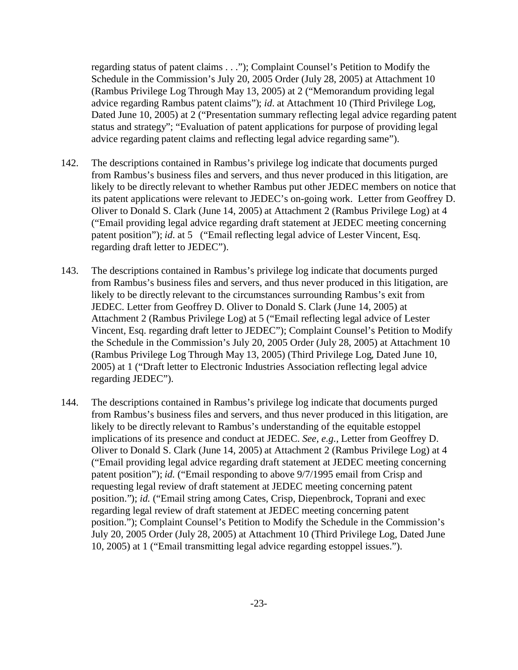regarding status of patent claims . . ."); Complaint Counsel's Petition to Modify the Schedule in the Commission's July 20, 2005 Order (July 28, 2005) at Attachment 10 (Rambus Privilege Log Through May 13, 2005) at 2 ("Memorandum providing legal advice regarding Rambus patent claims"); *id*. at Attachment 10 (Third Privilege Log, Dated June 10, 2005) at 2 ("Presentation summary reflecting legal advice regarding patent status and strategy"; "Evaluation of patent applications for purpose of providing legal advice regarding patent claims and reflecting legal advice regarding same").

- 142. The descriptions contained in Rambus's privilege log indicate that documents purged from Rambus's business files and servers, and thus never produced in this litigation, are likely to be directly relevant to whether Rambus put other JEDEC members on notice that its patent applications were relevant to JEDEC's on-going work. Letter from Geoffrey D. Oliver to Donald S. Clark (June 14, 2005) at Attachment 2 (Rambus Privilege Log) at 4 ("Email providing legal advice regarding draft statement at JEDEC meeting concerning patent position"); *id*. at 5 ("Email reflecting legal advice of Lester Vincent, Esq. regarding draft letter to JEDEC").
- 143. The descriptions contained in Rambus's privilege log indicate that documents purged from Rambus's business files and servers, and thus never produced in this litigation, are likely to be directly relevant to the circumstances surrounding Rambus's exit from JEDEC. Letter from Geoffrey D. Oliver to Donald S. Clark (June 14, 2005) at Attachment 2 (Rambus Privilege Log) at 5 ("Email reflecting legal advice of Lester Vincent, Esq. regarding draft letter to JEDEC"); Complaint Counsel's Petition to Modify the Schedule in the Commission's July 20, 2005 Order (July 28, 2005) at Attachment 10 (Rambus Privilege Log Through May 13, 2005) (Third Privilege Log, Dated June 10, 2005) at 1 ("Draft letter to Electronic Industries Association reflecting legal advice regarding JEDEC").
- 144. The descriptions contained in Rambus's privilege log indicate that documents purged from Rambus's business files and servers, and thus never produced in this litigation, are likely to be directly relevant to Rambus's understanding of the equitable estoppel implications of its presence and conduct at JEDEC. *See, e.g.,* Letter from Geoffrey D. Oliver to Donald S. Clark (June 14, 2005) at Attachment 2 (Rambus Privilege Log) at 4 ("Email providing legal advice regarding draft statement at JEDEC meeting concerning patent position"); *id.* ("Email responding to above 9/7/1995 email from Crisp and requesting legal review of draft statement at JEDEC meeting concerning patent position."); *id.* ("Email string among Cates, Crisp, Diepenbrock, Toprani and exec regarding legal review of draft statement at JEDEC meeting concerning patent position."); Complaint Counsel's Petition to Modify the Schedule in the Commission's July 20, 2005 Order (July 28, 2005) at Attachment 10 (Third Privilege Log, Dated June 10, 2005) at 1 ("Email transmitting legal advice regarding estoppel issues.").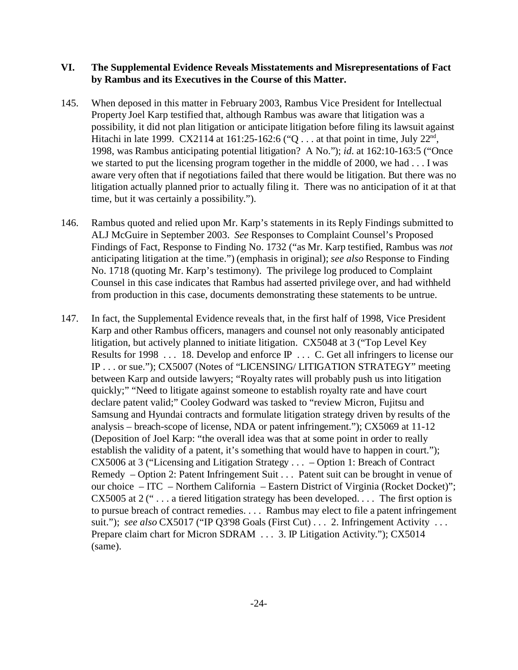#### **VI. The Supplemental Evidence Reveals Misstatements and Misrepresentations of Fact by Rambus and its Executives in the Course of this Matter.**

- 145. When deposed in this matter in February 2003, Rambus Vice President for Intellectual Property Joel Karp testified that, although Rambus was aware that litigation was a possibility, it did not plan litigation or anticipate litigation before filing its lawsuit against Hitachi in late 1999. CX2114 at 161:25-162:6 ("Q... at that point in time, July  $22<sup>nd</sup>$ , 1998, was Rambus anticipating potential litigation? A No."); *id*. at 162:10-163:5 ("Once we started to put the licensing program together in the middle of 2000, we had . . . I was aware very often that if negotiations failed that there would be litigation. But there was no litigation actually planned prior to actually filing it. There was no anticipation of it at that time, but it was certainly a possibility.").
- 146. Rambus quoted and relied upon Mr. Karp's statements in its Reply Findings submitted to ALJ McGuire in September 2003. *See* Responses to Complaint Counsel's Proposed Findings of Fact, Response to Finding No. 1732 ("as Mr. Karp testified, Rambus was *not* anticipating litigation at the time.") (emphasis in original); *see also* Response to Finding No. 1718 (quoting Mr. Karp's testimony). The privilege log produced to Complaint Counsel in this case indicates that Rambus had asserted privilege over, and had withheld from production in this case, documents demonstrating these statements to be untrue.
- 147. In fact, the Supplemental Evidence reveals that, in the first half of 1998, Vice President Karp and other Rambus officers, managers and counsel not only reasonably anticipated litigation, but actively planned to initiate litigation. CX5048 at 3 ("Top Level Key Results for 1998 . . . 18. Develop and enforce  $\mathbb P$  . . . C. Get all infringers to license our IP . . . or sue."); CX5007 (Notes of "LICENSING/ LITIGATION STRATEGY" meeting between Karp and outside lawyers; "Royalty rates will probably push us into litigation quickly;" "Need to litigate against someone to establish royalty rate and have court declare patent valid;" Cooley Godward was tasked to "review Micron, Fujitsu and Samsung and Hyundai contracts and formulate litigation strategy driven by results of the analysis – breach-scope of license, NDA or patent infringement."); CX5069 at 11-12 (Deposition of Joel Karp: "the overall idea was that at some point in order to really establish the validity of a patent, it's something that would have to happen in court."); CX5006 at 3 ("Licensing and Litigation Strategy . . . – Option 1: Breach of Contract Remedy – Option 2: Patent Infringement Suit . . . Patent suit can be brought in venue of our choice – ITC – Northern California – Eastern District of Virginia (Rocket Docket)"; CX5005 at 2  $($ "... a tiered litigation strategy has been developed.... The first option is to pursue breach of contract remedies. . . . Rambus may elect to file a patent infringement suit."); *see also* CX5017 ("IP Q3'98 Goals (First Cut) . . . 2. Infringement Activity . . . Prepare claim chart for Micron SDRAM . . . 3. IP Litigation Activity."); CX5014 (same).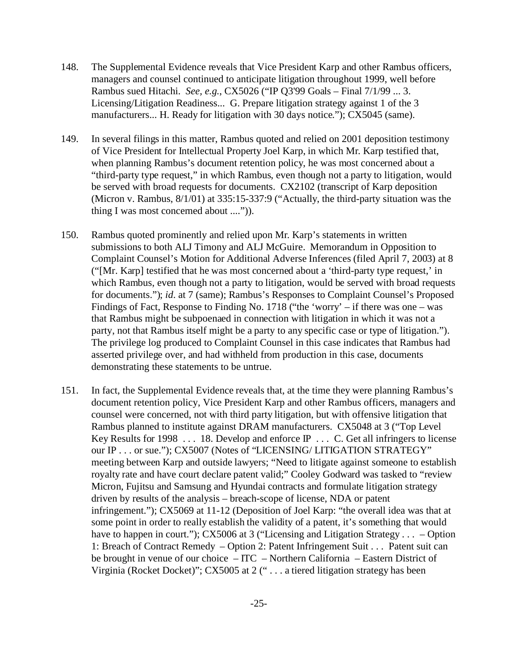- 148. The Supplemental Evidence reveals that Vice President Karp and other Rambus officers, managers and counsel continued to anticipate litigation throughout 1999, well before Rambus sued Hitachi. *See, e.g.*, CX5026 ("IP Q3'99 Goals – Final 7/1/99 ... 3. Licensing/Litigation Readiness... G. Prepare litigation strategy against 1 of the 3 manufacturers... H. Ready for litigation with 30 days notice."); CX5045 (same).
- 149. In several filings in this matter, Rambus quoted and relied on 2001 deposition testimony of Vice President for Intellectual Property Joel Karp, in which Mr. Karp testified that, when planning Rambus's document retention policy, he was most concerned about a "third-party type request," in which Rambus, even though not a party to litigation, would be served with broad requests for documents. CX2102 (transcript of Karp deposition (Micron v. Rambus, 8/1/01) at 335:15-337:9 ("Actually, the third-party situation was the thing I was most concerned about ....")).
- 150. Rambus quoted prominently and relied upon Mr. Karp's statements in written submissions to both ALJ Timony and ALJ McGuire. Memorandum in Opposition to Complaint Counsel's Motion for Additional Adverse Inferences (filed April 7, 2003) at 8 ("[Mr. Karp] testified that he was most concerned about a 'third-party type request,' in which Rambus, even though not a party to litigation, would be served with broad requests for documents."); *id*. at 7 (same); Rambus's Responses to Complaint Counsel's Proposed Findings of Fact, Response to Finding No. 1718 ("the 'worry' – if there was one – was that Rambus might be subpoenaed in connection with litigation in which it was not a party, not that Rambus itself might be a party to any specific case or type of litigation."). The privilege log produced to Complaint Counsel in this case indicates that Rambus had asserted privilege over, and had withheld from production in this case, documents demonstrating these statements to be untrue.
- 151. In fact, the Supplemental Evidence reveals that, at the time they were planning Rambus's document retention policy, Vice President Karp and other Rambus officers, managers and counsel were concerned, not with third party litigation, but with offensive litigation that Rambus planned to institute against DRAM manufacturers. CX5048 at 3 ("Top Level Key Results for 1998 . . . 18. Develop and enforce IP . . . C. Get all infringers to license our IP . . . or sue."); CX5007 (Notes of "LICENSING/ LITIGATION STRATEGY" meeting between Karp and outside lawyers; "Need to litigate against someone to establish royalty rate and have court declare patent valid;" Cooley Godward was tasked to "review Micron, Fujitsu and Samsung and Hyundai contracts and formulate litigation strategy driven by results of the analysis – breach-scope of license, NDA or patent infringement."); CX5069 at 11-12 (Deposition of Joel Karp: "the overall idea was that at some point in order to really establish the validity of a patent, it's something that would have to happen in court."); CX5006 at 3 ("Licensing and Litigation Strategy . . . – Option 1: Breach of Contract Remedy – Option 2: Patent Infringement Suit . . . Patent suit can be brought in venue of our choice  $-ITC$  – Northern California – Eastern District of Virginia (Rocket Docket)"; CX5005 at 2 (" . . . a tiered litigation strategy has been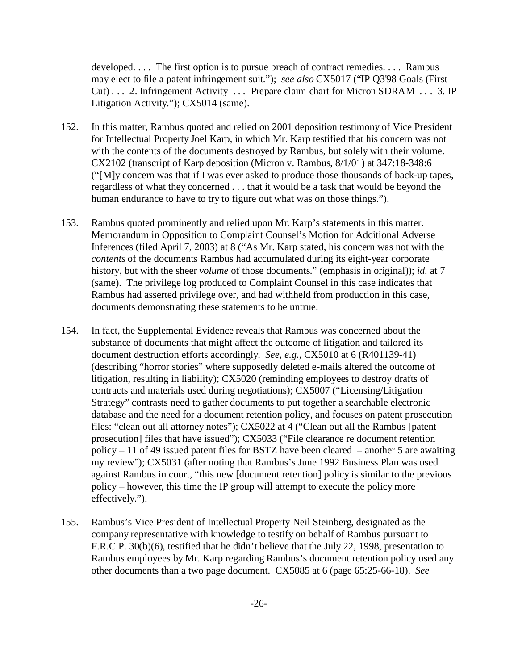developed. . . . The first option is to pursue breach of contract remedies. . . . Rambus may elect to file a patent infringement suit."); *see also* CX5017 ("IP Q3'98 Goals (First Cut) . . . 2. Infringement Activity . . . Prepare claim chart for Micron SDRAM . . . 3. IP Litigation Activity."); CX5014 (same).

- 152. In this matter, Rambus quoted and relied on 2001 deposition testimony of Vice President for Intellectual Property Joel Karp, in which Mr. Karp testified that his concern was not with the contents of the documents destroyed by Rambus, but solely with their volume. CX2102 (transcript of Karp deposition (Micron v. Rambus, 8/1/01) at 347:18-348:6 ("[M]y concern was that if I was ever asked to produce those thousands of back-up tapes, regardless of what they concerned . . . that it would be a task that would be beyond the human endurance to have to try to figure out what was on those things.").
- 153. Rambus quoted prominently and relied upon Mr. Karp's statements in this matter. Memorandum in Opposition to Complaint Counsel's Motion for Additional Adverse Inferences (filed April 7, 2003) at 8 ("As Mr. Karp stated, his concern was not with the *contents* of the documents Rambus had accumulated during its eight-year corporate history, but with the sheer *volume* of those documents." (emphasis in original)); *id.* at 7 (same). The privilege log produced to Complaint Counsel in this case indicates that Rambus had asserted privilege over, and had withheld from production in this case, documents demonstrating these statements to be untrue.
- 154. In fact, the Supplemental Evidence reveals that Rambus was concerned about the substance of documents that might affect the outcome of litigation and tailored its document destruction efforts accordingly. *See, e.g.*, CX5010 at 6 (R401139-41) (describing "horror stories" where supposedly deleted e-mails altered the outcome of litigation, resulting in liability); CX5020 (reminding employees to destroy drafts of contracts and materials used during negotiations); CX5007 ("Licensing/Litigation Strategy" contrasts need to gather documents to put together a searchable electronic database and the need for a document retention policy, and focuses on patent prosecution files: "clean out all attorney notes"); CX5022 at 4 ("Clean out all the Rambus [patent prosecution] files that have issued"); CX5033 ("File clearance re document retention policy – 11 of 49 issued patent files for BSTZ have been cleared – another 5 are awaiting my review"); CX5031 (after noting that Rambus's June 1992 Business Plan was used against Rambus in court, "this new [document retention] policy is similar to the previous policy – however, this time the IP group will attempt to execute the policy more effectively.").
- 155. Rambus's Vice President of Intellectual Property Neil Steinberg, designated as the company representative with knowledge to testify on behalf of Rambus pursuant to F.R.C.P. 30(b)(6), testified that he didn't believe that the July 22, 1998, presentation to Rambus employees by Mr. Karp regarding Rambus's document retention policy used any other documents than a two page document. CX5085 at 6 (page 65:25-66-18). *See*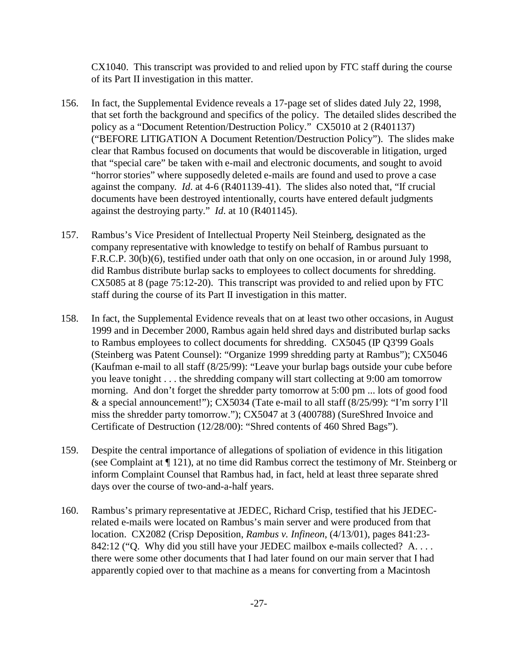CX1040. This transcript was provided to and relied upon by FTC staff during the course of its Part II investigation in this matter.

- 156. In fact, the Supplemental Evidence reveals a 17-page set of slides dated July 22, 1998, that set forth the background and specifics of the policy. The detailed slides described the policy as a "Document Retention/Destruction Policy." CX5010 at 2 (R401137) ("BEFORE LITIGATION A Document Retention/Destruction Policy"). The slides make clear that Rambus focused on documents that would be discoverable in litigation, urged that "special care" be taken with e-mail and electronic documents, and sought to avoid "horror stories" where supposedly deleted e-mails are found and used to prove a case against the company. *Id*. at 4-6 (R401139-41). The slides also noted that, "If crucial documents have been destroyed intentionally, courts have entered default judgments against the destroying party." *Id*. at 10 (R401145).
- 157. Rambus's Vice President of Intellectual Property Neil Steinberg, designated as the company representative with knowledge to testify on behalf of Rambus pursuant to F.R.C.P. 30(b)(6), testified under oath that only on one occasion, in or around July 1998, did Rambus distribute burlap sacks to employees to collect documents for shredding. CX5085 at 8 (page 75:12-20). This transcript was provided to and relied upon by FTC staff during the course of its Part II investigation in this matter.
- 158. In fact, the Supplemental Evidence reveals that on at least two other occasions, in August 1999 and in December 2000, Rambus again held shred days and distributed burlap sacks to Rambus employees to collect documents for shredding. CX5045 (IP Q3'99 Goals (Steinberg was Patent Counsel): "Organize 1999 shredding party at Rambus"); CX5046 (Kaufman e-mail to all staff (8/25/99): "Leave your burlap bags outside your cube before you leave tonight . . . the shredding company will start collecting at 9:00 am tomorrow morning. And don't forget the shredder party tomorrow at 5:00 pm ... lots of good food & a special announcement!"); CX5034 (Tate e-mail to all staff (8/25/99): "I'm sorry I'll miss the shredder party tomorrow."); CX5047 at 3 (400788) (SureShred Invoice and Certificate of Destruction (12/28/00): "Shred contents of 460 Shred Bags").
- 159. Despite the central importance of allegations of spoliation of evidence in this litigation (see Complaint at ¶ 121), at no time did Rambus correct the testimony of Mr. Steinberg or inform Complaint Counsel that Rambus had, in fact, held at least three separate shred days over the course of two-and-a-half years.
- 160. Rambus's primary representative at JEDEC, Richard Crisp, testified that his JEDECrelated e-mails were located on Rambus's main server and were produced from that location. CX2082 (Crisp Deposition, *Rambus v. Infineon*, (4/13/01), pages 841:23- 842:12 ("Q. Why did you still have your JEDEC mailbox e-mails collected? A.... there were some other documents that I had later found on our main server that I had apparently copied over to that machine as a means for converting from a Macintosh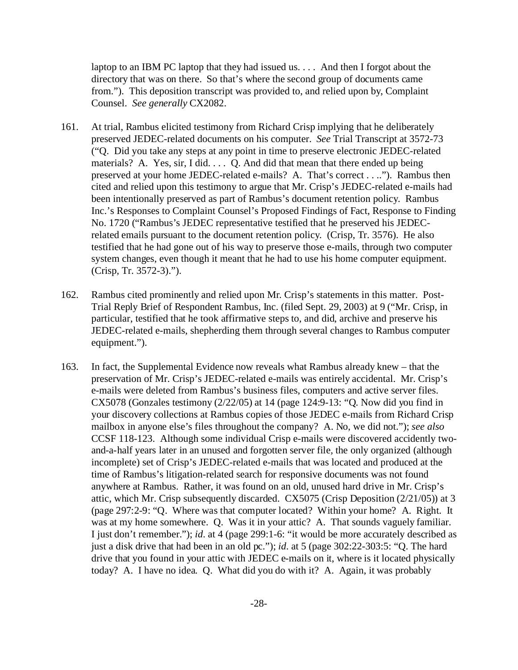laptop to an IBM PC laptop that they had issued us. . . . And then I forgot about the directory that was on there. So that's where the second group of documents came from."). This deposition transcript was provided to, and relied upon by, Complaint Counsel. *See generally* CX2082.

- 161. At trial, Rambus elicited testimony from Richard Crisp implying that he deliberately preserved JEDEC-related documents on his computer. *See* Trial Transcript at 3572-73 ("Q. Did you take any steps at any point in time to preserve electronic JEDEC-related materials? A. Yes, sir, I did. . . . Q. And did that mean that there ended up being preserved at your home JEDEC-related e-mails? A. That's correct . . .."). Rambus then cited and relied upon this testimony to argue that Mr. Crisp's JEDEC-related e-mails had been intentionally preserved as part of Rambus's document retention policy. Rambus Inc.'s Responses to Complaint Counsel's Proposed Findings of Fact, Response to Finding No. 1720 ("Rambus's JEDEC representative testified that he preserved his JEDECrelated emails pursuant to the document retention policy. (Crisp, Tr. 3576). He also testified that he had gone out of his way to preserve those e-mails, through two computer system changes, even though it meant that he had to use his home computer equipment. (Crisp, Tr. 3572-3).").
- 162. Rambus cited prominently and relied upon Mr. Crisp's statements in this matter. Post-Trial Reply Brief of Respondent Rambus, Inc. (filed Sept. 29, 2003) at 9 ("Mr. Crisp, in particular, testified that he took affirmative steps to, and did, archive and preserve his JEDEC-related e-mails, shepherding them through several changes to Rambus computer equipment.").
- 163. In fact, the Supplemental Evidence now reveals what Rambus already knew that the preservation of Mr. Crisp's JEDEC-related e-mails was entirely accidental. Mr. Crisp's e-mails were deleted from Rambus's business files, computers and active server files. CX5078 (Gonzales testimony (2/22/05) at 14 (page 124:9-13: "Q. Now did you find in your discovery collections at Rambus copies of those JEDEC e-mails from Richard Crisp mailbox in anyone else's files throughout the company? A. No, we did not."); *see also* CCSF 118-123. Although some individual Crisp e-mails were discovered accidently twoand-a-half years later in an unused and forgotten server file, the only organized (although incomplete) set of Crisp's JEDEC-related e-mails that was located and produced at the time of Rambus's litigation-related search for responsive documents was not found anywhere at Rambus. Rather, it was found on an old, unused hard drive in Mr. Crisp's attic, which Mr. Crisp subsequently discarded. CX5075 (Crisp Deposition (2/21/05)) at 3 (page 297:2-9: "Q. Where was that computer located? Within your home? A. Right. It was at my home somewhere. Q. Was it in your attic? A. That sounds vaguely familiar. I just don't remember."); *id*. at 4 (page 299:1-6: "it would be more accurately described as just a disk drive that had been in an old pc."); *id*. at 5 (page 302:22-303:5: "Q. The hard drive that you found in your attic with JEDEC e-mails on it, where is it located physically today? A. I have no idea. Q. What did you do with it? A. Again, it was probably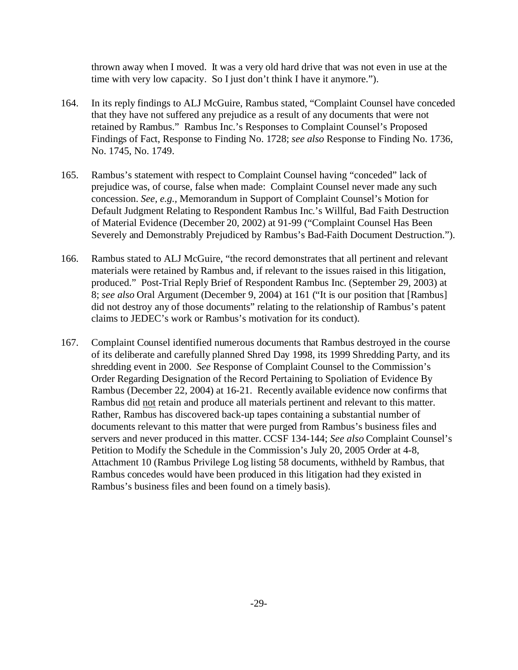thrown away when I moved. It was a very old hard drive that was not even in use at the time with very low capacity. So I just don't think I have it anymore.").

- 164. In its reply findings to ALJ McGuire, Rambus stated, "Complaint Counsel have conceded that they have not suffered any prejudice as a result of any documents that were not retained by Rambus." Rambus Inc.'s Responses to Complaint Counsel's Proposed Findings of Fact, Response to Finding No. 1728; *see also* Response to Finding No. 1736, No. 1745, No. 1749.
- 165. Rambus's statement with respect to Complaint Counsel having "conceded" lack of prejudice was, of course, false when made: Complaint Counsel never made any such concession. *See, e.g.,* Memorandum in Support of Complaint Counsel's Motion for Default Judgment Relating to Respondent Rambus Inc.'s Willful, Bad Faith Destruction of Material Evidence (December 20, 2002) at 91-99 ("Complaint Counsel Has Been Severely and Demonstrably Prejudiced by Rambus's Bad-Faith Document Destruction.").
- 166. Rambus stated to ALJ McGuire, "the record demonstrates that all pertinent and relevant materials were retained by Rambus and, if relevant to the issues raised in this litigation, produced." Post-Trial Reply Brief of Respondent Rambus Inc. (September 29, 2003) at 8; *see also* Oral Argument (December 9, 2004) at 161 ("It is our position that [Rambus] did not destroy any of those documents" relating to the relationship of Rambus's patent claims to JEDEC's work or Rambus's motivation for its conduct).
- 167. Complaint Counsel identified numerous documents that Rambus destroyed in the course of its deliberate and carefully planned Shred Day 1998, its 1999 Shredding Party, and its shredding event in 2000. *See* Response of Complaint Counsel to the Commission's Order Regarding Designation of the Record Pertaining to Spoliation of Evidence By Rambus (December 22, 2004) at 16-21. Recently available evidence now confirms that Rambus did not retain and produce all materials pertinent and relevant to this matter. Rather, Rambus has discovered back-up tapes containing a substantial number of documents relevant to this matter that were purged from Rambus's business files and servers and never produced in this matter. CCSF 134-144; *See also* Complaint Counsel's Petition to Modify the Schedule in the Commission's July 20, 2005 Order at 4-8, Attachment 10 (Rambus Privilege Log listing 58 documents, withheld by Rambus, that Rambus concedes would have been produced in this litigation had they existed in Rambus's business files and been found on a timely basis).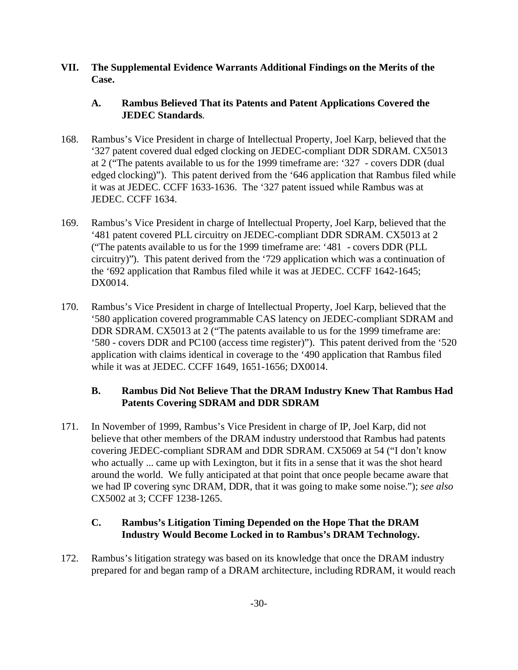**VII. The Supplemental Evidence Warrants Additional Findings on the Merits of the Case.** 

### **A. Rambus Believed That its Patents and Patent Applications Covered the JEDEC Standards**.

- 168. Rambus's Vice President in charge of Intellectual Property, Joel Karp, believed that the '327 patent covered dual edged clocking on JEDEC-compliant DDR SDRAM. CX5013 at 2 ("The patents available to us for the 1999 timeframe are: '327 - covers DDR (dual edged clocking)"). This patent derived from the '646 application that Rambus filed while it was at JEDEC. CCFF 1633-1636. The '327 patent issued while Rambus was at JEDEC. CCFF 1634.
- 169. Rambus's Vice President in charge of Intellectual Property, Joel Karp, believed that the '481 patent covered PLL circuitry on JEDEC-compliant DDR SDRAM. CX5013 at 2 ("The patents available to us for the 1999 timeframe are: '481 - covers DDR (PLL circuitry)"). This patent derived from the '729 application which was a continuation of the '692 application that Rambus filed while it was at JEDEC. CCFF 1642-1645; DX0014.
- 170. Rambus's Vice President in charge of Intellectual Property, Joel Karp, believed that the '580 application covered programmable CAS latency on JEDEC-compliant SDRAM and DDR SDRAM. CX5013 at 2 ("The patents available to us for the 1999 timeframe are: '580 - covers DDR and PC100 (access time register)"). This patent derived from the '520 application with claims identical in coverage to the '490 application that Rambus filed while it was at JEDEC. CCFF 1649, 1651-1656; DX0014.

# **B. Rambus Did Not Believe That the DRAM Industry Knew That Rambus Had Patents Covering SDRAM and DDR SDRAM**

171. In November of 1999, Rambus's Vice President in charge of IP, Joel Karp, did not believe that other members of the DRAM industry understood that Rambus had patents covering JEDEC-compliant SDRAM and DDR SDRAM. CX5069 at 54 ("I don't know who actually ... came up with Lexington, but it fits in a sense that it was the shot heard around the world. We fully anticipated at that point that once people became aware that we had IP covering sync DRAM, DDR, that it was going to make some noise."); *see also* CX5002 at 3; CCFF 1238-1265.

# **C. Rambus's Litigation Timing Depended on the Hope That the DRAM Industry Would Become Locked in to Rambus's DRAM Technology.**

172. Rambus's litigation strategy was based on its knowledge that once the DRAM industry prepared for and began ramp of a DRAM architecture, including RDRAM, it would reach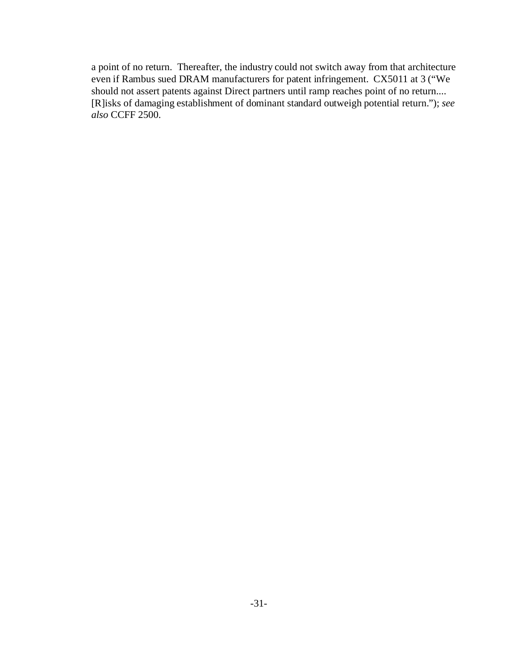a point of no return. Thereafter, the industry could not switch away from that architecture even if Rambus sued DRAM manufacturers for patent infringement. CX5011 at 3 ("We should not assert patents against Direct partners until ramp reaches point of no return.... [R]isks of damaging establishment of dominant standard outweigh potential return."); *see also* CCFF 2500.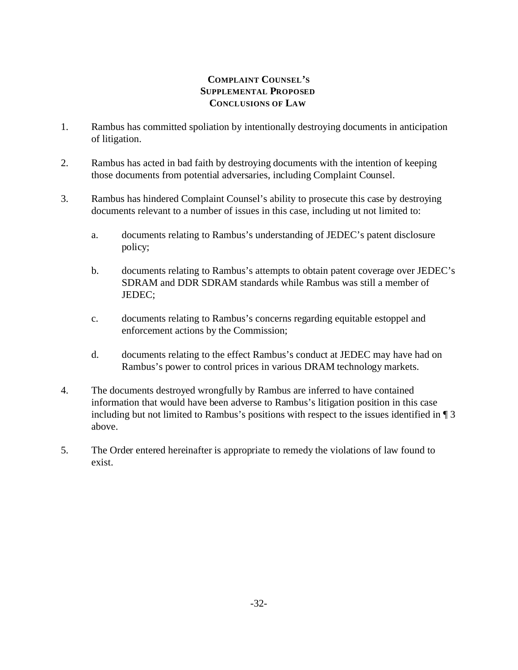# **COMPLAINT COUNSEL'S SUPPLEMENTAL PROPOSED CONCLUSIONS OF LAW**

- 1. Rambus has committed spoliation by intentionally destroying documents in anticipation of litigation.
- 2. Rambus has acted in bad faith by destroying documents with the intention of keeping those documents from potential adversaries, including Complaint Counsel.
- 3. Rambus has hindered Complaint Counsel's ability to prosecute this case by destroying documents relevant to a number of issues in this case, including ut not limited to:
	- a. documents relating to Rambus's understanding of JEDEC's patent disclosure policy;
	- b. documents relating to Rambus's attempts to obtain patent coverage over JEDEC's SDRAM and DDR SDRAM standards while Rambus was still a member of JEDEC;
	- c. documents relating to Rambus's concerns regarding equitable estoppel and enforcement actions by the Commission;
	- d. documents relating to the effect Rambus's conduct at JEDEC may have had on Rambus's power to control prices in various DRAM technology markets.
- 4. The documents destroyed wrongfully by Rambus are inferred to have contained information that would have been adverse to Rambus's litigation position in this case including but not limited to Rambus's positions with respect to the issues identified in ¶ 3 above.
- 5. The Order entered hereinafter is appropriate to remedy the violations of law found to exist.